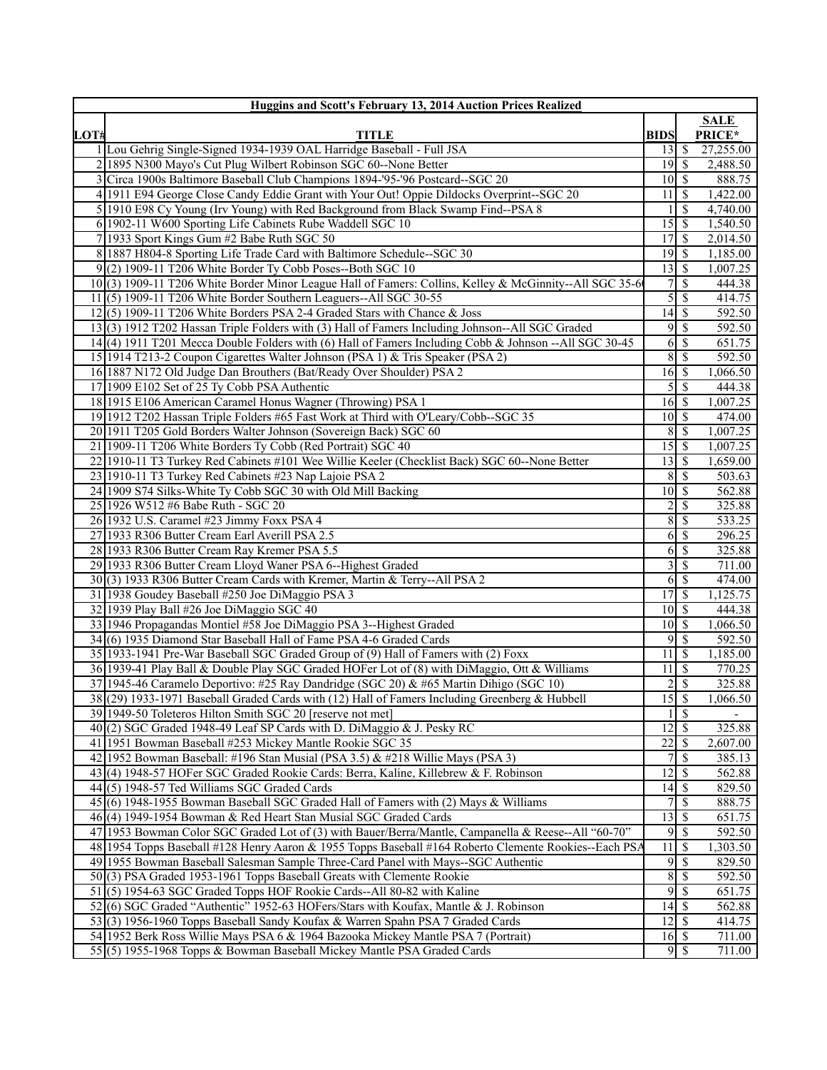|      | <b>Huggins and Scott's February 13, 2014 Auction Prices Realized</b>                                                                                                                     |                                   |                     |                       |
|------|------------------------------------------------------------------------------------------------------------------------------------------------------------------------------------------|-----------------------------------|---------------------|-----------------------|
|      |                                                                                                                                                                                          |                                   |                     | <b>SALE</b>           |
| LOT# | <b>TITLE</b>                                                                                                                                                                             | <b>BIDS</b>                       |                     | PRICE*                |
|      | 1 Lou Gehrig Single-Signed 1934-1939 OAL Harridge Baseball - Full JSA                                                                                                                    | $\overline{13}$ $\overline{5}$    |                     | 27,255.00<br>2,488.50 |
|      | 2 1895 N300 Mayo's Cut Plug Wilbert Robinson SGC 60--None Better                                                                                                                         |                                   |                     | 888.75                |
|      | Circa 1900s Baltimore Baseball Club Champions 1894-'95-'96 Postcard--SGC 20<br>4 1911 E94 George Close Candy Eddie Grant with Your Out! Oppie Dildocks Overprint-SGC 20                  | 10 S<br>11                        | l \$                | 1,422.00              |
|      | 5 1910 E98 Cy Young (Irv Young) with Red Background from Black Swamp Find--PSA 8                                                                                                         |                                   | <sup>\$</sup>       | 4,740.00              |
|      | 6 1902-11 W600 Sporting Life Cabinets Rube Waddell SGC 10                                                                                                                                | 15                                | \$                  | 1,540.50              |
|      | 7 1933 Sport Kings Gum #2 Babe Ruth SGC 50                                                                                                                                               | $17\overline{\smash{)}\,s}$       |                     | 2,014.50              |
|      | 8 1887 H804-8 Sporting Life Trade Card with Baltimore Schedule--SGC 30                                                                                                                   |                                   |                     | 1,185.00              |
|      | $9(2)$ 1909-11 T206 White Border Ty Cobb Poses--Both SGC 10                                                                                                                              | 13                                | <sup>\$</sup>       | 1,007.25              |
|      | 10(3) 1909-11 T206 White Border Minor League Hall of Famers: Collins, Kelley & McGinnity--All SGC 35-6                                                                                   | 7 <sup>1</sup>                    | <sup>\$</sup>       | 444.38                |
|      | 11(5) 1909-11 T206 White Border Southern Leaguers--All SGC 30-55                                                                                                                         | $5\vert$                          | \$                  | 414.75                |
|      | $12(5)$ 1909-11 T206 White Borders PSA 2-4 Graded Stars with Chance & Joss                                                                                                               | $\overline{14}$ \$                |                     | 592.50                |
|      | 13(3) 1912 T202 Hassan Triple Folders with (3) Hall of Famers Including Johnson--All SGC Graded                                                                                          |                                   | $9$ \ $\frac{1}{2}$ | 592.50                |
|      | 14(4) 1911 T201 Mecca Double Folders with (6) Hall of Famers Including Cobb & Johnson -- All SGC 30-45                                                                                   | 6                                 | \$                  | 651.75                |
|      | 15 1914 T213-2 Coupon Cigarettes Walter Johnson (PSA 1) & Tris Speaker (PSA 2)                                                                                                           | $\overline{8}$                    | <sup>\$</sup>       | 592.50                |
|      | 16 1887 N172 Old Judge Dan Brouthers (Bat/Ready Over Shoulder) PSA 2                                                                                                                     | $16 \mid$ \$                      |                     | 1,066.50              |
|      | 17 1909 E102 Set of 25 Ty Cobb PSA Authentic                                                                                                                                             | 5 <sup>1</sup>                    | \$                  | 444.38                |
|      | 18 1915 E106 American Caramel Honus Wagner (Throwing) PSA 1                                                                                                                              | $16 \mid$ \$                      |                     | 1,007.25              |
|      | 19 1912 T202 Hassan Triple Folders #65 Fast Work at Third with O'Leary/Cobb--SGC 35                                                                                                      | $10 \mid$ \$                      |                     | 474.00                |
|      | 20 1911 T205 Gold Borders Walter Johnson (Sovereign Back) SGC 60                                                                                                                         |                                   | $8 \mid S$          | 1,007.25              |
|      | 21 1909-11 T206 White Borders Ty Cobb (Red Portrait) SGC 40                                                                                                                              |                                   |                     | 1,007.25              |
|      | 22 1910-11 T3 Turkey Red Cabinets #101 Wee Willie Keeler (Checklist Back) SGC 60--None Better                                                                                            | $13 \mid$ \$                      |                     | 1,659.00              |
|      | 23 1910-11 T3 Turkey Red Cabinets #23 Nap Lajoie PSA 2                                                                                                                                   | $\overline{8}$                    | \$                  | 503.63                |
|      | 24 1909 S74 Silks-White Ty Cobb SGC 30 with Old Mill Backing                                                                                                                             | $10\overline{\smash{)}\,}$        |                     | 562.88                |
|      | 25 1926 W512 #6 Babe Ruth - SGC 20                                                                                                                                                       | $\overline{c}$                    | \$                  | 325.88                |
|      | 26 1932 U.S. Caramel #23 Jimmy Foxx PSA 4                                                                                                                                                | 8                                 | \$                  | 533.25                |
|      | 27 1933 R306 Butter Cream Earl Averill PSA 2.5                                                                                                                                           | 6                                 | <sup>\$</sup>       | 296.25                |
|      | 28 1933 R306 Butter Cream Ray Kremer PSA 5.5                                                                                                                                             | 6                                 | <sup>\$</sup>       | 325.88                |
|      | 29 1933 R306 Butter Cream Lloyd Waner PSA 6--Highest Graded                                                                                                                              | 3                                 | \$                  | 711.00                |
|      | 30(3) 1933 R306 Butter Cream Cards with Kremer, Martin & Terry--All PSA 2                                                                                                                |                                   | $6\sqrt{S}$         | 474.00                |
|      | 31 1938 Goudey Baseball #250 Joe DiMaggio PSA 3                                                                                                                                          | 17                                | \$                  | 1,125.75              |
|      | 32 1939 Play Ball #26 Joe DiMaggio SGC 40                                                                                                                                                | $10 \mid$ \$                      |                     | 444.38                |
|      | 33 1946 Propagandas Montiel #58 Joe DiMaggio PSA 3--Highest Graded                                                                                                                       | $10 \mid S$                       |                     | 1,066.50              |
|      | 34(6) 1935 Diamond Star Baseball Hall of Fame PSA 4-6 Graded Cards                                                                                                                       |                                   | $9$ \ $\frac{1}{2}$ | 592.50                |
|      | 35 1933-1941 Pre-War Baseball SGC Graded Group of (9) Hall of Famers with (2) Foxx                                                                                                       | 11S                               |                     | 1,185.00              |
|      | 36 1939-41 Play Ball & Double Play SGC Graded HOFer Lot of (8) with DiMaggio, Ott & Williams                                                                                             | $11 \overline{\smash{)}\,}$       |                     | 770.25                |
|      | 37 1945-46 Caramelo Deportivo: #25 Ray Dandridge (SGC 20) & #65 Martin Dihigo (SGC 10)<br>38 (29) 1933-1971 Baseball Graded Cards with (12) Hall of Famers Including Greenberg & Hubbell | $2\vert$<br>$\overline{15}$ \$    | <sup>\$</sup>       | 325.88                |
|      |                                                                                                                                                                                          |                                   | $1 \mid S$          | 1,066.50              |
|      | 39 1949-50 Toleteros Hilton Smith SGC 20 [reserve not met]<br>40 $(2)$ SGC Graded 1948-49 Leaf SP Cards with D. DiMaggio & J. Pesky RC                                                   | $\overline{12}$ \ $\overline{\$}$ |                     | 325.88                |
|      | 41 1951 Bowman Baseball #253 Mickey Mantle Rookie SGC 35                                                                                                                                 |                                   |                     | 2,607.00              |
|      | 42 1952 Bowman Baseball: #196 Stan Musial (PSA 3.5) & #218 Willie Mays (PSA 3)                                                                                                           | 7 I                               | \$                  | 385.13                |
|      | 43(4) 1948-57 HOFer SGC Graded Rookie Cards: Berra, Kaline, Killebrew & F. Robinson                                                                                                      | 12                                | <sup>\$</sup>       | 562.88                |
|      | 44(5) 1948-57 Ted Williams SGC Graded Cards                                                                                                                                              | 14                                | \$                  | 829.50                |
|      | 45(6) 1948-1955 Bowman Baseball SGC Graded Hall of Famers with (2) Mays & Williams                                                                                                       | 71                                | \$                  | 888.75                |
|      | 46(4) 1949-1954 Bowman & Red Heart Stan Musial SGC Graded Cards                                                                                                                          | 13                                | <sup>\$</sup>       | 651.75                |
|      | 47 1953 Bowman Color SGC Graded Lot of (3) with Bauer/Berra/Mantle, Campanella & Reese--All "60-70"                                                                                      |                                   | $9\sqrt{5}$         | 592.50                |
|      | 48 1954 Topps Baseball #128 Henry Aaron & 1955 Topps Baseball #164 Roberto Clemente Rookies--Each PSA                                                                                    | $\overline{11}$ \$                |                     | 1,303.50              |
|      | 49 1955 Bowman Baseball Salesman Sample Three-Card Panel with Mays--SGC Authentic                                                                                                        |                                   |                     | 829.50                |
|      | 50(3) PSA Graded 1953-1961 Topps Baseball Greats with Clemente Rookie                                                                                                                    | 8                                 | \$                  | 592.50                |
|      | 51 (5) 1954-63 SGC Graded Topps HOF Rookie Cards--All 80-82 with Kaline                                                                                                                  |                                   | 9s                  | 651.75                |
|      | 52(6) SGC Graded "Authentic" 1952-63 HOFers/Stars with Koufax, Mantle & J. Robinson                                                                                                      | $\overline{14}$ \$                |                     | 562.88                |
|      | 53(3) 1956-1960 Topps Baseball Sandy Koufax & Warren Spahn PSA 7 Graded Cards                                                                                                            | $12 \mid$ \$                      |                     | 414.75                |
|      | 54 1952 Berk Ross Willie Mays PSA 6 & 1964 Bazooka Mickey Mantle PSA 7 (Portrait)                                                                                                        | $16 \mid$ \$                      |                     | 711.00                |
|      | 55(5) 1955-1968 Topps & Bowman Baseball Mickey Mantle PSA Graded Cards                                                                                                                   |                                   | $9$ \ $\frac{1}{3}$ | 711.00                |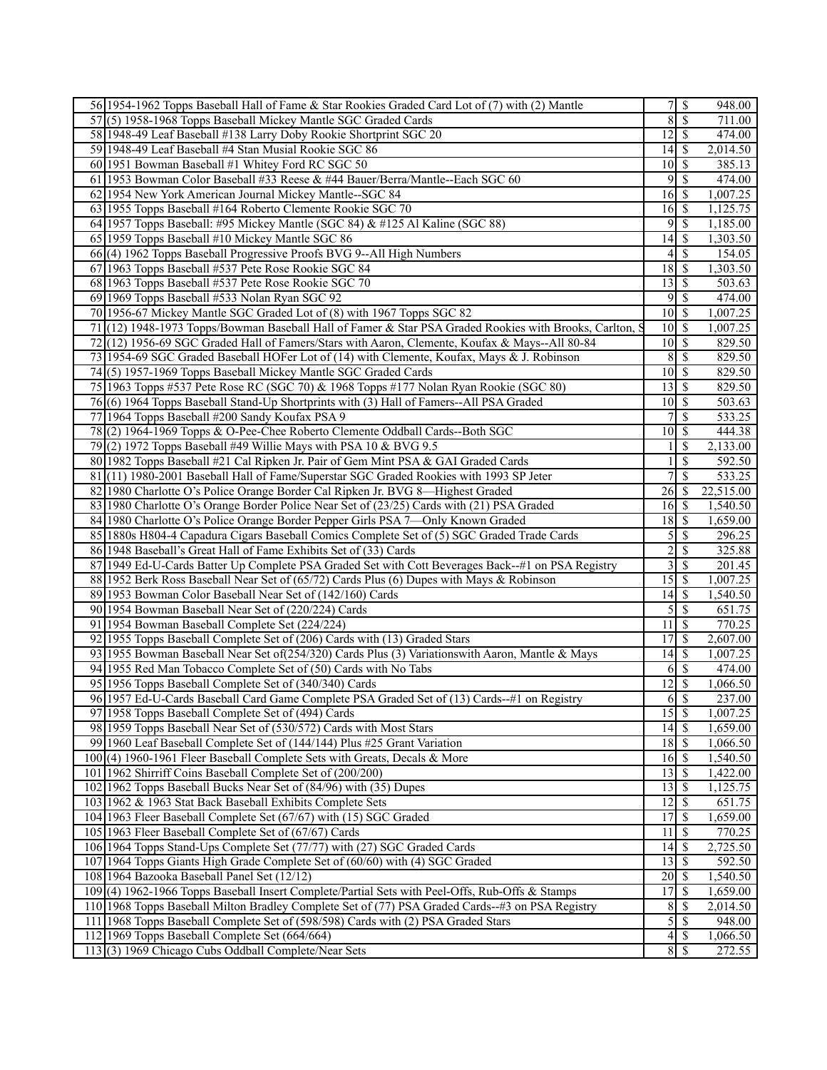| 56 1954-1962 Topps Baseball Hall of Fame & Star Rookies Graded Card Lot of (7) with (2) Mantle                                                       |                                              | $7$ \ $\sqrt{3}$ | 948.00               |
|------------------------------------------------------------------------------------------------------------------------------------------------------|----------------------------------------------|------------------|----------------------|
| 57(5) 1958-1968 Topps Baseball Mickey Mantle SGC Graded Cards                                                                                        | 8S                                           |                  | 711.00               |
| 58 1948-49 Leaf Baseball #138 Larry Doby Rookie Shortprint SGC 20                                                                                    | $12 \overline{\smash{)}\,}$                  |                  | 474.00               |
| 59 1948-49 Leaf Baseball #4 Stan Musial Rookie SGC 86                                                                                                |                                              |                  | 2,014.50             |
| 60 1951 Bowman Baseball #1 Whitey Ford RC SGC 50                                                                                                     | $10\vert S$                                  |                  | 385.13               |
| 61 1953 Bowman Color Baseball #33 Reese & #44 Bauer/Berra/Mantle--Each SGC 60                                                                        | $9$ \ $\frac{1}{3}$                          |                  | 474.00               |
| 62 1954 New York American Journal Mickey Mantle--SGC 84                                                                                              | $16 \mid$ \$                                 |                  | 1,007.25             |
| 63 1955 Topps Baseball #164 Roberto Clemente Rookie SGC 70                                                                                           | $16 \mid$ \$                                 |                  | 1,125.75             |
| 64 1957 Topps Baseball: #95 Mickey Mantle (SGC 84) & #125 Al Kaline (SGC 88)                                                                         | 95                                           |                  | 1,185.00             |
| 65 1959 Topps Baseball #10 Mickey Mantle SGC 86                                                                                                      | $14 \overline{\smash{)}\,}$                  |                  | 1,303.50             |
| 66(4) 1962 Topps Baseball Progressive Proofs BVG 9--All High Numbers                                                                                 | $4$ \ $\frac{1}{3}$                          |                  | 154.05               |
| 67 1963 Topps Baseball #537 Pete Rose Rookie SGC 84                                                                                                  | $18 \overline{\smash{)}\,5}$                 |                  | 1,303.50             |
| 68 1963 Topps Baseball #537 Pete Rose Rookie SGC 70                                                                                                  | $13 \mid$ \$                                 |                  | 503.63               |
| 69 1969 Topps Baseball #533 Nolan Ryan SGC 92                                                                                                        | $9 \overline{\smash{)}\,}$                   |                  | 474.00               |
| 70 1956-67 Mickey Mantle SGC Graded Lot of (8) with 1967 Topps SGC 82                                                                                | $\overline{10}$ \$                           |                  | 1,007.25             |
| 71(12) 1948-1973 Topps/Bowman Baseball Hall of Famer & Star PSA Graded Rookies with Brooks, Carlton, S                                               | $10 \mid S$                                  |                  | 1,007.25             |
| 72(12) 1956-69 SGC Graded Hall of Famers/Stars with Aaron, Clemente, Koufax & Mays--All 80-84                                                        | $10 \mid S$                                  |                  | 829.50               |
| 73 1954-69 SGC Graded Baseball HOFer Lot of (14) with Clemente, Koufax, Mays & J. Robinson                                                           | 8S                                           |                  | 829.50               |
| 74(5) 1957-1969 Topps Baseball Mickey Mantle SGC Graded Cards                                                                                        | $10 \mid$ \$                                 |                  | 829.50               |
| 75 1963 Topps #537 Pete Rose RC (SGC 70) & 1968 Topps #177 Nolan Ryan Rookie (SGC 80)                                                                | $13$ $\sqrt{5}$                              |                  | 829.50               |
| 76(6) 1964 Topps Baseball Stand-Up Shortprints with (3) Hall of Famers--All PSA Graded                                                               | $10\vert S$                                  |                  | 503.63               |
| 77 1964 Topps Baseball #200 Sandy Koufax PSA 9                                                                                                       |                                              | -\$              | $\overline{533.25}$  |
| 78(2) 1964-1969 Topps & O-Pee-Chee Roberto Clemente Oddball Cards--Both SGC                                                                          | $10 \mid$ \$                                 |                  | 444.38               |
| 79 $(2)$ 1972 Topps Baseball #49 Willie Mays with PSA 10 & BVG 9.5                                                                                   |                                              | \$               | 2,133.00             |
| 80 1982 Topps Baseball #21 Cal Ripken Jr. Pair of Gem Mint PSA & GAI Graded Cards                                                                    |                                              | \$               | 592.50               |
| 81 (11) 1980-2001 Baseball Hall of Fame/Superstar SGC Graded Rookies with 1993 SP Jeter                                                              | 7                                            | $\mathbf S$      | 533.25               |
| 82 1980 Charlotte O's Police Orange Border Cal Ripken Jr. BVG 8—Highest Graded                                                                       | $26 \mid$ \$                                 |                  | 22,515.00            |
| 83 1980 Charlotte O's Orange Border Police Near Set of (23/25) Cards with (21) PSA Graded                                                            | $16 \mid$ \$                                 |                  | 1,540.50             |
| 84 1980 Charlotte O's Police Orange Border Pepper Girls PSA 7—Only Known Graded                                                                      | $18$ $\bar{S}$                               |                  | 1,659.00             |
| 85 1880s H804-4 Capadura Cigars Baseball Comics Complete Set of (5) SGC Graded Trade Cards                                                           |                                              |                  | 296.25               |
| 86 1948 Baseball's Great Hall of Fame Exhibits Set of (33) Cards                                                                                     | $\overline{2}$                               | \$               | 325.88               |
| 87 1949 Ed-U-Cards Batter Up Complete PSA Graded Set with Cott Beverages Back--#1 on PSA Registry                                                    | $3 \overline{\smash{)}\, \text{S}}$          |                  | 201.45               |
| 88 1952 Berk Ross Baseball Near Set of (65/72) Cards Plus (6) Dupes with Mays & Robinson                                                             |                                              |                  | 1,007.25             |
| 89 1953 Bowman Color Baseball Near Set of (142/160) Cards                                                                                            | $14 \overline{\smash{)}\,}$                  |                  | 1,540.50             |
| 90 1954 Bowman Baseball Near Set of (220/224) Cards                                                                                                  | $\mathfrak{S}$                               | l \$             | 651.75               |
| 91 1954 Bowman Baseball Complete Set (224/224)                                                                                                       | 11                                           | \$               | 770.25               |
| 92 1955 Topps Baseball Complete Set of (206) Cards with (13) Graded Stars                                                                            | $17$ $\sqrt{5}$                              |                  | 2,607.00             |
| 93 1955 Bowman Baseball Near Set of (254/320) Cards Plus (3) Variationswith Aaron, Mantle & Mays                                                     | $14 \mid$ \$                                 |                  | 1,007.25             |
| 94 1955 Red Man Tobacco Complete Set of (50) Cards with No Tabs                                                                                      | 6                                            | $\sqrt{S}$       | 474.00               |
| 95 1956 Topps Baseball Complete Set of (340/340) Cards                                                                                               | $\overline{12}$ \$                           |                  | 1,066.50             |
| 96 1957 Ed-U-Cards Baseball Card Game Complete PSA Graded Set of (13) Cards-+#1 on Registry                                                          | $6 \overline{\smash{)}\,}$<br>$15 \mid$ \$   |                  | 237.00               |
| 97 1958 Topps Baseball Complete Set of (494) Cards                                                                                                   |                                              |                  | 1,007.25             |
| 98 1959 Topps Baseball Near Set of (530/572) Cards with Most Stars                                                                                   | $14 \mid$ \$<br>$18 \overline{\smash{)}\,5}$ |                  | 1,659.00             |
| 99 1960 Leaf Baseball Complete Set of (144/144) Plus #25 Grant Variation<br>100(4) 1960-1961 Fleer Baseball Complete Sets with Greats, Decals & More | $16 \mid$ \$                                 |                  | 1,066.50             |
|                                                                                                                                                      | $13 \mid$ \$                                 |                  | 1,540.50<br>1,422.00 |
| 101 1962 Shirriff Coins Baseball Complete Set of (200/200)<br>102 1962 Topps Baseball Bucks Near Set of (84/96) with (35) Dupes                      | $\overline{13}$ $\overline{5}$               |                  | 1,125.75             |
| 103 1962 & 1963 Stat Back Baseball Exhibits Complete Sets                                                                                            | $12 \mid$ \$                                 |                  | 651.75               |
| 104 1963 Fleer Baseball Complete Set (67/67) with (15) SGC Graded                                                                                    |                                              |                  | 1,659.00             |
| 105 1963 Fleer Baseball Complete Set of (67/67) Cards                                                                                                | 11                                           | l \$             | 770.25               |
| 106 1964 Topps Stand-Ups Complete Set (77/77) with (27) SGC Graded Cards                                                                             | $14\overline{3}$                             |                  | 2,725.50             |
| 107 1964 Topps Giants High Grade Complete Set of (60/60) with (4) SGC Graded                                                                         | $13 \mid$ \$                                 |                  | 592.50               |
| 108 1964 Bazooka Baseball Panel Set (12/12)                                                                                                          | $20 \mid$ \$                                 |                  | 1,540.50             |
| 109 (4) 1962-1966 Topps Baseball Insert Complete/Partial Sets with Peel-Offs, Rub-Offs & Stamps                                                      |                                              |                  | 1,659.00             |
| 110 1968 Topps Baseball Milton Bradley Complete Set of (77) PSA Graded Cards-#3 on PSA Registry                                                      | $8 \mid$ \$                                  |                  | 2,014.50             |
| 111 1968 Topps Baseball Complete Set of (598/598) Cards with (2) PSA Graded Stars                                                                    | 5S                                           |                  | 948.00               |
| 112 1969 Topps Baseball Complete Set (664/664)                                                                                                       |                                              |                  | 1,066.50             |
| 113(3) 1969 Chicago Cubs Oddball Complete/Near Sets                                                                                                  | 8S                                           |                  | 272.55               |
|                                                                                                                                                      |                                              |                  |                      |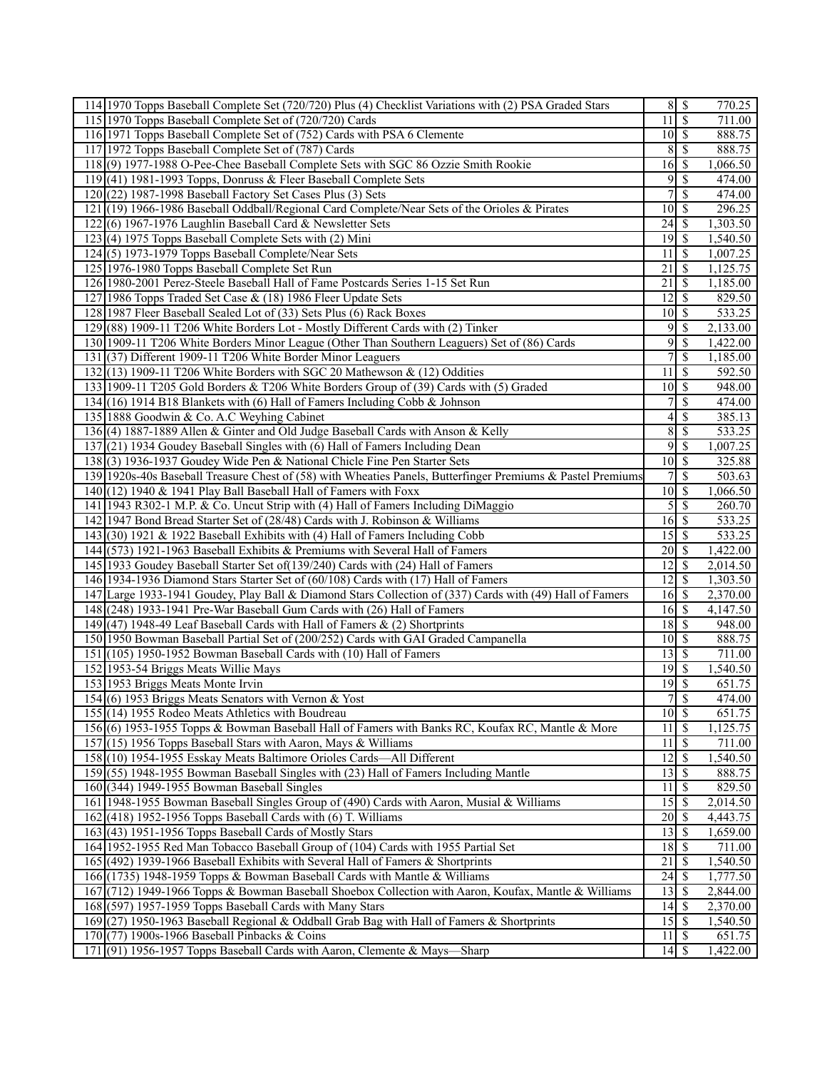| 114 1970 Topps Baseball Complete Set (720/720) Plus (4) Checklist Variations with (2) PSA Graded Stars      |                                 | 8S                       | 770.25              |
|-------------------------------------------------------------------------------------------------------------|---------------------------------|--------------------------|---------------------|
| 115 1970 Topps Baseball Complete Set of (720/720) Cards                                                     | $11 \mid S$                     |                          | 711.00              |
| 116 1971 Topps Baseball Complete Set of (752) Cards with PSA 6 Clemente                                     | $10 \mid S$                     |                          | 888.75              |
| 117 1972 Topps Baseball Complete Set of (787) Cards                                                         | 8                               | $\mathbb{S}$             | 888.75              |
| 118(9) 1977-1988 O-Pee-Chee Baseball Complete Sets with SGC 86 Ozzie Smith Rookie                           |                                 |                          | 1,066.50            |
| 119 (41) 1981-1993 Topps, Donruss & Fleer Baseball Complete Sets                                            | 9                               | \$                       | 474.00              |
| $120(22)$ 1987-1998 Baseball Factory Set Cases Plus (3) Sets                                                | 7                               | $\overline{\mathcal{S}}$ | 474.00              |
| 121 (19) 1966-1986 Baseball Oddball/Regional Card Complete/Near Sets of the Orioles & Pirates               | $\overline{10}$ \$              |                          | 296.25              |
| 122(6) 1967-1976 Laughlin Baseball Card & Newsletter Sets                                                   | 24                              | <sup>\$</sup>            | 1,303.50            |
| 123(4) 1975 Topps Baseball Complete Sets with (2) Mini                                                      | $19$ $\sqrt{5}$                 |                          | 1,540.50            |
| 124(5) 1973-1979 Topps Baseball Complete/Near Sets                                                          | $11 \overline{\smash{\big)}\,}$ |                          | 1,007.25            |
| 125 1976-1980 Topps Baseball Complete Set Run                                                               | 21                              | $\overline{\mathsf{s}}$  | 1,125.75            |
| 126 1980-2001 Perez-Steele Baseball Hall of Fame Postcards Series 1-15 Set Run                              | 21S                             |                          | 1,185.00            |
|                                                                                                             |                                 |                          |                     |
| 127 1986 Topps Traded Set Case & (18) 1986 Fleer Update Sets                                                | $12 \overline{\smash{\big)}\,}$ |                          | 829.50              |
| 128 1987 Fleer Baseball Sealed Lot of (33) Sets Plus (6) Rack Boxes                                         | $\overline{10}$ \$              |                          | 533.25              |
| 129 (88) 1909-11 T206 White Borders Lot - Mostly Different Cards with (2) Tinker                            | 9                               | \$                       | 2,133.00            |
| 130 1909-11 T206 White Borders Minor League (Other Than Southern Leaguers) Set of (86) Cards                | 9                               | \$                       | 1,422.00            |
| 131 (37) Different 1909-11 T206 White Border Minor Leaguers                                                 | 7 <sup>1</sup>                  | \$                       | 1,185.00            |
| 132 $(13)$ 1909-11 T206 White Borders with SGC 20 Mathewson & (12) Oddities                                 | $\overline{11}$ \$              |                          | 592.50              |
| 133 1909-11 T205 Gold Borders & T206 White Borders Group of (39) Cards with (5) Graded                      | $10 \mid$ \$                    |                          | 948.00              |
| 134(16) 1914 B18 Blankets with (6) Hall of Famers Including Cobb & Johnson                                  | 7                               | \$                       | 474.00              |
| 135 1888 Goodwin & Co. A.C Weyhing Cabinet                                                                  | $4\vert$                        | \$                       | 385.13              |
| 136(4) 1887-1889 Allen & Ginter and Old Judge Baseball Cards with Anson & Kelly                             | $\overline{8}$                  | \$                       | 533.25              |
| 137(21) 1934 Goudey Baseball Singles with (6) Hall of Famers Including Dean                                 |                                 | $9 \mid$ \$              | 1,007.25            |
| 138 (3) 1936-1937 Goudey Wide Pen & National Chicle Fine Pen Starter Sets                                   | $10\overline{\smash{)}\,}$      |                          | 325.88              |
| 139 1920s-40s Baseball Treasure Chest of (58) with Wheaties Panels, Butterfinger Premiums & Pastel Premiums |                                 | 7s                       | 503.63              |
| 140 (12) 1940 & 1941 Play Ball Baseball Hall of Famers with Foxx                                            | $10 \overline{\smash{)}\,$ \$   |                          | 1,066.50            |
| 141 1943 R302-1 M.P. & Co. Uncut Strip with (4) Hall of Famers Including DiMaggio                           | 5                               | \$                       | 260.70              |
| 142 1947 Bond Bread Starter Set of (28/48) Cards with J. Robinson & Williams                                |                                 |                          | $\overline{533.25}$ |
| 143 (30) 1921 & 1922 Baseball Exhibits with (4) Hall of Famers Including Cobb                               | $15\overline{\smash{)}\,}$      |                          | 533.25              |
| 144 (573) 1921-1963 Baseball Exhibits & Premiums with Several Hall of Famers                                | $20 \mid$ \$                    |                          | 1,422.00            |
| 145 1933 Goudey Baseball Starter Set of (139/240) Cards with (24) Hall of Famers                            | 12                              | <sup>\$</sup>            | 2,014.50            |
| 146 1934-1936 Diamond Stars Starter Set of (60/108) Cards with (17) Hall of Famers                          | $12 \mid$ \$                    |                          | 1,303.50            |
| 147 Large 1933-1941 Goudey, Play Ball & Diamond Stars Collection of (337) Cards with (49) Hall of Famers    | $16 \mid$ \$                    |                          | 2,370.00            |
| 148 (248) 1933-1941 Pre-War Baseball Gum Cards with (26) Hall of Famers                                     | $16 \,$ \$                      |                          | 4,147.50            |
| 149 (47) 1948-49 Leaf Baseball Cards with Hall of Famers $\&$ (2) Shortprints                               | 18S                             |                          | 948.00              |
| 150 1950 Bowman Baseball Partial Set of (200/252) Cards with GAI Graded Campanella                          | $\overline{10}$ \$              |                          | 888.75              |
| 151 (105) 1950-1952 Bowman Baseball Cards with (10) Hall of Famers                                          | $13\overline{3}$                |                          | 711.00              |
| 152 1953-54 Briggs Meats Willie Mays                                                                        |                                 |                          | 1,540.50            |
| 153 1953 Briggs Meats Monte Irvin                                                                           | 19                              | \$                       | 651.75              |
| 154 (6) 1953 Briggs Meats Senators with Vernon & Yost                                                       | $7\vert$                        | $\overline{\$}$          | 474.00              |
| 155 (14) 1955 Rodeo Meats Athletics with Boudreau                                                           | $10 \mid$ \$                    |                          | 651.75              |
| 156(6) 1953-1955 Topps & Bowman Baseball Hall of Famers with Banks RC, Koufax RC, Mantle & More             | $11 \overline{\smash{)}\,}$     |                          | 1,125.75            |
| 157 (15) 1956 Topps Baseball Stars with Aaron, Mays & Williams                                              | $11\overline{3}$                |                          | 711.00              |
| 158 (10) 1954-1955 Esskay Meats Baltimore Orioles Cards—All Different                                       | 12                              | \$                       | 1,540.50            |
| 159 (55) 1948-1955 Bowman Baseball Singles with (23) Hall of Famers Including Mantle                        | 13                              | \$                       | 888.75              |
| 160 (344) 1949-1955 Bowman Baseball Singles                                                                 | $11 \mid$ \$                    |                          | 829.50              |
| 161 1948-1955 Bowman Baseball Singles Group of (490) Cards with Aaron, Musial & Williams                    | 15                              | \$                       | 2,014.50            |
| $162$ (418) 1952-1956 Topps Baseball Cards with (6) T. Williams                                             | $20\overline{\smash{)}\,}$      |                          | 4,443.75            |
| 163 (43) 1951-1956 Topps Baseball Cards of Mostly Stars                                                     | 13                              | \$                       | 1,659.00            |
| 164 1952-1955 Red Man Tobacco Baseball Group of (104) Cards with 1955 Partial Set                           | $\overline{18}$ $\overline{5}$  |                          | 711.00              |
| 165 (492) 1939-1966 Baseball Exhibits with Several Hall of Famers & Shortprints                             | $\overline{21}$                 | \$                       | 1,540.50            |
| 166 (1735) 1948-1959 Topps & Bowman Baseball Cards with Mantle & Williams                                   | $\overline{24}$ \$              |                          | 1,777.50            |
| 167 (712) 1949-1966 Topps & Bowman Baseball Shoebox Collection with Aaron, Koufax, Mantle & Williams        | 13                              | <sup>\$</sup>            | 2,844.00            |
| 168 (597) 1957-1959 Topps Baseball Cards with Many Stars                                                    |                                 |                          | 2,370.00            |
| 169 (27) 1950-1963 Baseball Regional & Oddball Grab Bag with Hall of Famers & Shortprints                   |                                 |                          | 1,540.50            |
| $170(77)$ 1900s-1966 Baseball Pinbacks & Coins                                                              | $11 \mid$ \$                    |                          | 651.75              |
| 171(91) 1956-1957 Topps Baseball Cards with Aaron, Clemente & Mays—Sharp                                    |                                 |                          | 1,422.00            |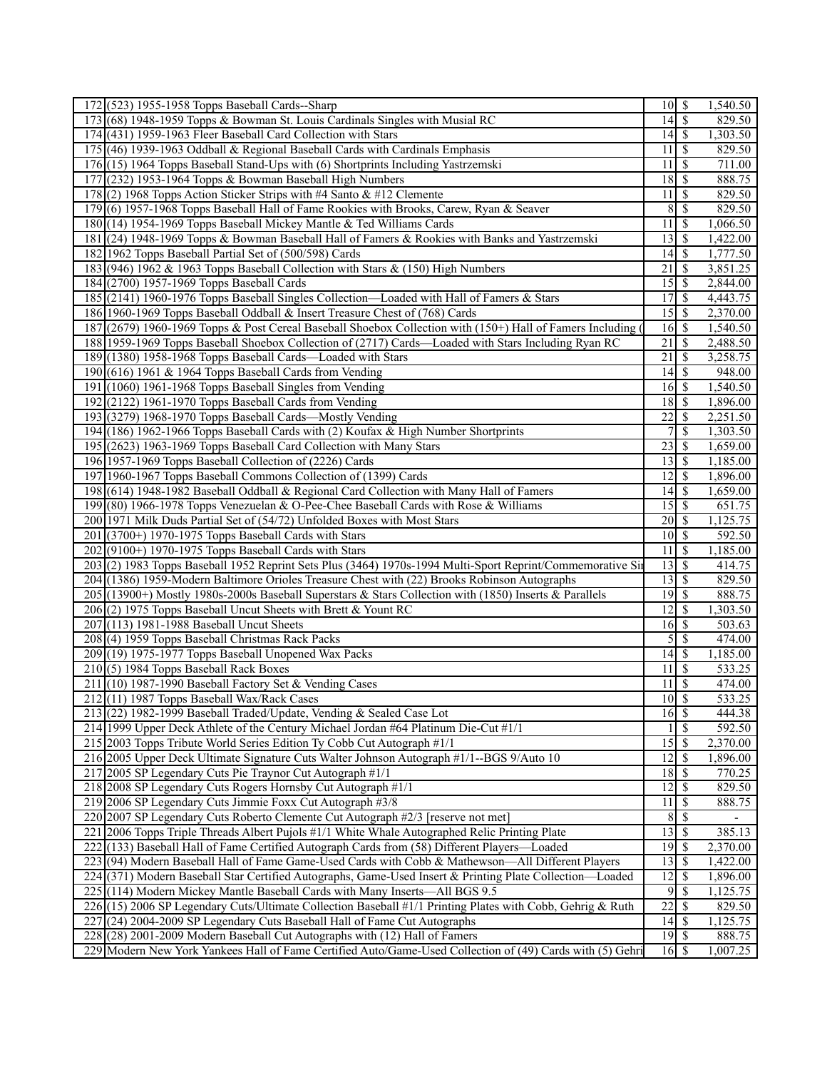| 172 (523) 1955-1958 Topps Baseball Cards--Sharp                                                                                                                          | $10$ $\sqrt{5}$                    |                          | 1,540.50             |
|--------------------------------------------------------------------------------------------------------------------------------------------------------------------------|------------------------------------|--------------------------|----------------------|
| 173 (68) 1948-1959 Topps & Bowman St. Louis Cardinals Singles with Musial RC                                                                                             | $\overline{14}$ \$                 |                          | 829.50               |
| 174 (431) 1959-1963 Fleer Baseball Card Collection with Stars                                                                                                            | $14 \mid$ \$                       |                          | 1,303.50             |
| 175 (46) 1939-1963 Oddball & Regional Baseball Cards with Cardinals Emphasis                                                                                             | 11                                 | l \$                     | 829.50               |
| 176 (15) 1964 Topps Baseball Stand-Ups with (6) Shortprints Including Yastrzemski                                                                                        | $11 \mid$ \$                       |                          | 711.00               |
| (232) 1953-1964 Topps & Bowman Baseball High Numbers<br>177                                                                                                              | $18$ $\overline{\phantom{1}}$      |                          | 888.75               |
| $178(2)$ 1968 Topps Action Sticker Strips with #4 Santo & #12 Clemente                                                                                                   | 11                                 | $\overline{\mathbf{s}}$  | 829.50               |
| 179(6) 1957-1968 Topps Baseball Hall of Fame Rookies with Brooks, Carew, Ryan & Seaver                                                                                   | 8                                  | $\overline{\mathbf{s}}$  | 829.50               |
| 180 (14) 1954-1969 Topps Baseball Mickey Mantle & Ted Williams Cards                                                                                                     | 11                                 | \$                       | 1,066.50             |
| 181 (24) 1948-1969 Topps & Bowman Baseball Hall of Famers & Rookies with Banks and Yastrzemski                                                                           | $13 \mid$ \$                       |                          | 1,422.00             |
| 182 1962 Topps Baseball Partial Set of (500/598) Cards                                                                                                                   | $14 \mid$ \$                       |                          | 1,777.50             |
| 183 (946) 1962 & 1963 Topps Baseball Collection with Stars & (150) High Numbers                                                                                          | $\overline{21}$                    | $\overline{\mathcal{S}}$ | 3,851.25             |
| 184 (2700) 1957-1969 Topps Baseball Cards                                                                                                                                | 15S                                |                          | 2,844.00             |
| 185 (2141) 1960-1976 Topps Baseball Singles Collection-Loaded with Hall of Famers & Stars                                                                                | 17S                                |                          | 4,443.75             |
| 186 1960-1969 Topps Baseball Oddball & Insert Treasure Chest of (768) Cards                                                                                              | 15S                                |                          | 2,370.00             |
| 187 (2679) 1960-1969 Topps & Post Cereal Baseball Shoebox Collection with (150+) Hall of Famers Including (                                                              | $16 \mid$ \$                       |                          | 1,540.50             |
| 188 1959-1969 Topps Baseball Shoebox Collection of (2717) Cards-Loaded with Stars Including Ryan RC                                                                      | $\overline{21}$                    | $\overline{\mathcal{S}}$ | 2,488.50             |
| 189 (1380) 1958-1968 Topps Baseball Cards—Loaded with Stars                                                                                                              | $\overline{21}$                    | $\overline{\mathcal{S}}$ | 3,258.75             |
| 190 $(616)$ 1961 & 1964 Topps Baseball Cards from Vending                                                                                                                | $\overline{14}$ \$                 |                          | 948.00               |
| $(1060)$ 1961-1968 Topps Baseball Singles from Vending<br>191                                                                                                            | $16 \mid$ \$                       |                          | 1,540.50             |
| 192 (2122) 1961-1970 Topps Baseball Cards from Vending                                                                                                                   | 18S                                |                          | 1,896.00             |
| 193 (3279) 1968-1970 Topps Baseball Cards—Mostly Vending                                                                                                                 | $22 \mid$ \$                       |                          | 2,251.50             |
|                                                                                                                                                                          |                                    | 7s                       |                      |
| 194 (186) 1962-1966 Topps Baseball Cards with (2) Koufax & High Number Shortprints<br>195 (2623) 1963-1969 Topps Baseball Card Collection with Many Stars                |                                    |                          | 1,303.50<br>1,659.00 |
|                                                                                                                                                                          | $\overline{13}$ $\overline{S}$     |                          |                      |
| 196 1957-1969 Topps Baseball Collection of (2226) Cards                                                                                                                  | $\overline{12}$ \$                 |                          | 1,185.00             |
| 197 1960-1967 Topps Baseball Commons Collection of (1399) Cards                                                                                                          |                                    |                          | 1,896.00             |
| 198 (614) 1948-1982 Baseball Oddball & Regional Card Collection with Many Hall of Famers                                                                                 | $\overline{15}$ \$                 |                          | 1,659.00             |
| 199 (80) 1966-1978 Topps Venezuelan & O-Pee-Chee Baseball Cards with Rose & Williams                                                                                     | $\overline{20}$ \$                 |                          | 651.75               |
| 200 1971 Milk Duds Partial Set of (54/72) Unfolded Boxes with Most Stars                                                                                                 | $\overline{10}$ \$                 |                          | 1,125.75             |
| 201 (3700+) 1970-1975 Topps Baseball Cards with Stars<br>202 (9100+) 1970-1975 Topps Baseball Cards with Stars                                                           | $11 \mid$ \$                       |                          | 592.50<br>1,185.00   |
|                                                                                                                                                                          | $13 \mid$ \$                       |                          |                      |
| 203(2) 1983 Topps Baseball 1952 Reprint Sets Plus (3464) 1970s-1994 Multi-Sport Reprint/Commemorative Sin                                                                |                                    |                          | 414.75               |
| 204 (1386) 1959-Modern Baltimore Orioles Treasure Chest with (22) Brooks Robinson Autographs                                                                             | $13 \mid$ \$<br>$\overline{19}$ \$ |                          | 829.50               |
| 205 (13900+) Mostly 1980s-2000s Baseball Superstars & Stars Collection with (1850) Inserts & Parallels<br>206 (2) 1975 Topps Baseball Uncut Sheets with Brett & Yount RC | $\overline{12}$ \$                 |                          | 888.75<br>1,303.50   |
|                                                                                                                                                                          | $16 \overline{\smash{)}\,}$        |                          | 503.63               |
| 207 (113) 1981-1988 Baseball Uncut Sheets<br>208 (4) 1959 Topps Baseball Christmas Rack Packs                                                                            |                                    | $5\overline{)}$          | 474.00               |
| 209 (19) 1975-1977 Topps Baseball Unopened Wax Packs                                                                                                                     | $14 \mid$ \$                       |                          | 1,185.00             |
| 210 (5) 1984 Topps Baseball Rack Boxes                                                                                                                                   | 11                                 |                          | 533.25               |
| 211 $(10)$ 1987-1990 Baseball Factory Set & Vending Cases                                                                                                                | $11 \overline{\smash{)}\,}$        | \$                       | 474.00               |
| $212(11)$ 1987 Topps Baseball Wax/Rack Cases                                                                                                                             | $10 \overline{\smash{)}\,$ \$      |                          |                      |
| 213 (22) 1982-1999 Baseball Traded/Update, Vending & Sealed Case Lot                                                                                                     | $16 \mid$ \$                       |                          | 533.25<br>444.38     |
|                                                                                                                                                                          |                                    | $\overline{\mathbf{s}}$  | 592.50               |
| 214 1999 Upper Deck Athlete of the Century Michael Jordan #64 Platinum Die-Cut #1/1                                                                                      | $15\overline{3}$                   |                          |                      |
| 215 2003 Topps Tribute World Series Edition Ty Cobb Cut Autograph #1/1                                                                                                   |                                    |                          | 2,370.00             |
| 216 2005 Upper Deck Ultimate Signature Cuts Walter Johnson Autograph #1/1--BGS 9/Auto 10                                                                                 | $12 \mid$ \$                       |                          | 1,896.00             |
| 217 2005 SP Legendary Cuts Pie Traynor Cut Autograph #1/1                                                                                                                |                                    |                          | 770.25               |
| 218 2008 SP Legendary Cuts Rogers Hornsby Cut Autograph #1/1                                                                                                             | $12 \mid$ \$                       |                          | 829.50               |
| 219 2006 SP Legendary Cuts Jimmie Foxx Cut Autograph #3/8<br>220 2007 SP Legendary Cuts Roberto Clemente Cut Autograph #2/3 [reserve not met]                            | 11                                 | $\sqrt{s}$<br>8S         | 888.75               |
|                                                                                                                                                                          |                                    |                          |                      |
| 2006 Topps Triple Threads Albert Pujols #1/1 White Whale Autographed Relic Printing Plate<br>221                                                                         | $\overline{13}$ $\overline{5}$     |                          | 385.13               |
| 222<br>(133) Baseball Hall of Fame Certified Autograph Cards from (58) Different Players—Loaded                                                                          |                                    |                          | 2,370.00             |
| 223 (94) Modern Baseball Hall of Fame Game-Used Cards with Cobb & Mathewson—All Different Players                                                                        | $13 \mid$ \$<br>$12 \mid$ \$       |                          | 1,422.00<br>1,896.00 |
| 224 (371) Modern Baseball Star Certified Autographs, Game-Used Insert & Printing Plate Collection—Loaded                                                                 |                                    | $9 \overline{3}$         |                      |
| 225 (114) Modern Mickey Mantle Baseball Cards with Many Inserts—All BGS 9.5                                                                                              | $22 \mid$ \$                       |                          | 1,125.75             |
| 226 (15) 2006 SP Legendary Cuts/Ultimate Collection Baseball #1/1 Printing Plates with Cobb, Gehrig & Ruth<br>227                                                        | $14 \mid$ \$                       |                          | 829.50<br>1,125.75   |
| (24) 2004-2009 SP Legendary Cuts Baseball Hall of Fame Cut Autographs                                                                                                    |                                    |                          |                      |
| 228(28) 2001-2009 Modern Baseball Cut Autographs with (12) Hall of Famers                                                                                                |                                    |                          | 888.75               |
| 229 Modern New York Yankees Hall of Fame Certified Auto/Game-Used Collection of (49) Cards with (5) Gehri                                                                | $16 \mid$ \$                       |                          | 1,007.25             |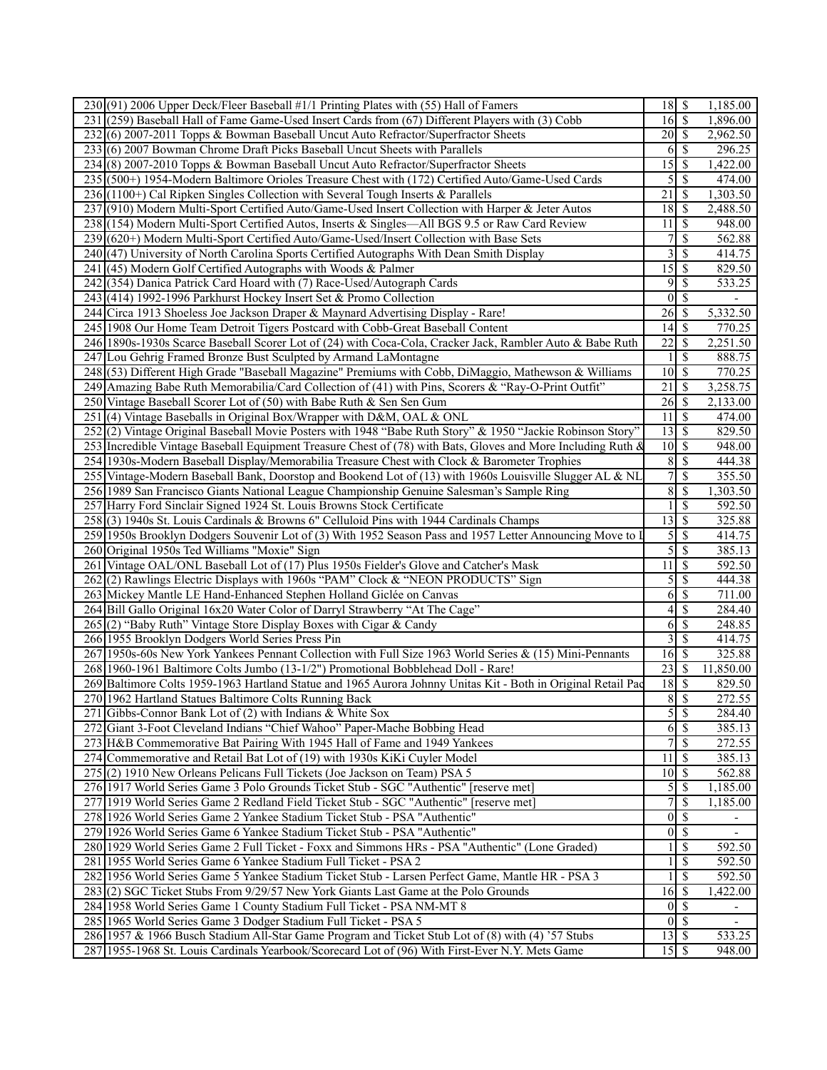| 230(91) 2006 Upper Deck/Fleer Baseball #1/1 Printing Plates with (55) Hall of Famers                          | $18 \overline{\smash{)}\,5}$ |                           | 1,185.00                 |
|---------------------------------------------------------------------------------------------------------------|------------------------------|---------------------------|--------------------------|
| 231 (259) Baseball Hall of Fame Game-Used Insert Cards from (67) Different Players with (3) Cobb              | $16 \overline{\smash{)}\,}$  |                           | 1,896.00                 |
| 232 (6) 2007-2011 Topps & Bowman Baseball Uncut Auto Refractor/Superfractor Sheets                            | $20 \mid$ \$                 |                           | 2,962.50                 |
| 233(6) 2007 Bowman Chrome Draft Picks Baseball Uncut Sheets with Parallels                                    | 6                            | S                         | 296.25                   |
| 234(8) 2007-2010 Topps & Bowman Baseball Uncut Auto Refractor/Superfractor Sheets                             | $\overline{15}$              | $\vert$ \$                | 1,422.00                 |
| 235 (500+) 1954-Modern Baltimore Orioles Treasure Chest with (172) Certified Auto/Game-Used Cards             | 5                            | $\overline{\mathcal{S}}$  | 474.00                   |
| 236 (1100+) Cal Ripken Singles Collection with Several Tough Inserts & Parallels                              | 21                           | $\mathcal{S}$             | 1,303.50                 |
| 237 (910) Modern Multi-Sport Certified Auto/Game-Used Insert Collection with Harper & Jeter Autos             |                              |                           | 2,488.50                 |
| 238 (154) Modern Multi-Sport Certified Autos, Inserts & Singles—All BGS 9.5 or Raw Card Review                | 11                           | $\mathcal{S}$             | 948.00                   |
| 239 (620+) Modern Multi-Sport Certified Auto/Game-Used/Insert Collection with Base Sets                       |                              | <sup>\$</sup>             | 562.88                   |
| 240(47) University of North Carolina Sports Certified Autographs With Dean Smith Display                      | 3                            | \$                        | 414.75                   |
| 241 (45) Modern Golf Certified Autographs with Woods & Palmer                                                 | $\overline{15}$ \$           |                           | 829.50                   |
| 242(354) Danica Patrick Card Hoard with (7) Race-Used/Autograph Cards                                         | 9                            | $\overline{\mathcal{S}}$  | 533.25                   |
| 243(414) 1992-1996 Parkhurst Hockey Insert Set & Promo Collection                                             | $\mathbf{0}$                 | $\sqrt{S}$                |                          |
| 244 Circa 1913 Shoeless Joe Jackson Draper & Maynard Advertising Display - Rare!                              | 26                           | $\overline{\mathcal{S}}$  | 5,332.50                 |
|                                                                                                               |                              |                           | 770.25                   |
| 245 1908 Our Home Team Detroit Tigers Postcard with Cobb-Great Baseball Content                               |                              |                           |                          |
| 246 1890s-1930s Scarce Baseball Scorer Lot of (24) with Coca-Cola, Cracker Jack, Rambler Auto & Babe Ruth     | $\overline{22}$              | $\mathcal{S}$             | 2,251.50                 |
| 247 Lou Gehrig Framed Bronze Bust Sculpted by Armand LaMontagne                                               |                              | $\mathcal{S}$             | 888.75                   |
| 248 (53) Different High Grade "Baseball Magazine" Premiums with Cobb, DiMaggio, Mathewson & Williams          | $\overline{10}$ \$           |                           | 770.25                   |
| 249 Amazing Babe Ruth Memorabilia/Card Collection of (41) with Pins, Scorers & "Ray-O-Print Outfit"           | $\overline{21}$              | \$                        | 3,258.75                 |
| 250 Vintage Baseball Scorer Lot of (50) with Babe Ruth & Sen Sen Gum                                          | $26\overline{\smash{)}\,5}$  |                           | 2,133.00                 |
| 251 (4) Vintage Baseballs in Original Box/Wrapper with D&M, OAL & ONL                                         | 11                           | S                         | 474.00                   |
| 252(2) Vintage Original Baseball Movie Posters with 1948 "Babe Ruth Story" & 1950 "Jackie Robinson Story"     | $\overline{13}$              | \$                        | 829.50                   |
| 253 Incredible Vintage Baseball Equipment Treasure Chest of (78) with Bats, Gloves and More Including Ruth &  | $10\overline{\smash{)}\,}$   |                           | 948.00                   |
| 254 1930s-Modern Baseball Display/Memorabilia Treasure Chest with Clock & Barometer Trophies                  | $\,$ 8 $\,$                  | $\sqrt{S}$                | 444.38                   |
| 255 Vintage-Modern Baseball Bank, Doorstop and Bookend Lot of (13) with 1960s Louisville Slugger AL & NL      | $\overline{7}$               | $\overline{\mathcal{S}}$  | 355.50                   |
| 256 1989 San Francisco Giants National League Championship Genuine Salesman's Sample Ring                     | 8                            | \$                        | 1,303.50                 |
| 257 Harry Ford Sinclair Signed 1924 St. Louis Browns Stock Certificate                                        | 1                            | \$                        | 592.50                   |
| 258(3) 1940s St. Louis Cardinals & Browns 6" Celluloid Pins with 1944 Cardinals Champs                        | $\overline{13}$              | $\vert$ \$                | 325.88                   |
| 259 1950s Brooklyn Dodgers Souvenir Lot of (3) With 1952 Season Pass and 1957 Letter Announcing Move to I     | 5                            | $\overline{\mathcal{S}}$  | 414.75                   |
| 260 Original 1950s Ted Williams "Moxie" Sign                                                                  | 5                            | $\overline{\mathcal{S}}$  | 385.13                   |
| 261 Vintage OAL/ONL Baseball Lot of (17) Plus 1950s Fielder's Glove and Catcher's Mask                        | 11                           | $\sqrt{s}$                | 592.50                   |
| 262(2) Rawlings Electric Displays with 1960s "PAM" Clock & "NEON PRODUCTS" Sign                               | 5                            | $\overline{\mathcal{S}}$  | 444.38                   |
| 263 Mickey Mantle LE Hand-Enhanced Stephen Holland Giclée on Canvas                                           | 6                            | $\boldsymbol{\mathsf{S}}$ | 711.00                   |
| 264 Bill Gallo Original 16x20 Water Color of Darryl Strawberry "At The Cage"                                  | 4                            | $\mathcal{S}$             | 284.40                   |
| 265(2) "Baby Ruth" Vintage Store Display Boxes with Cigar & Candy                                             | 6                            | $\overline{\mathcal{S}}$  | 248.85                   |
| 266 1955 Brooklyn Dodgers World Series Press Pin                                                              | 3                            | $\overline{\mathcal{S}}$  | 414.75                   |
| 267 1950s-60s New York Yankees Pennant Collection with Full Size 1963 World Series & (15) Mini-Pennants       | $16\overline{\smash{)}\,}$   |                           | 325.88                   |
| 268 1960-1961 Baltimore Colts Jumbo (13-1/2") Promotional Bobblehead Doll - Rare!                             | 23                           | l \$                      | 11,850.00                |
| 269 Baltimore Colts 1959-1963 Hartland Statue and 1965 Aurora Johnny Unitas Kit - Both in Original Retail Pac | $18 \overline{\smash{)}\,5}$ |                           | 829.50                   |
| 270 1962 Hartland Statues Baltimore Colts Running Back                                                        | $\bf 8$                      | $\sqrt{s}$                | 272.55                   |
| 271 Gibbs-Connor Bank Lot of (2) with Indians & White Sox                                                     |                              | 5S                        | 284.40                   |
| 272 Giant 3-Foot Cleveland Indians "Chief Wahoo" Paper-Mache Bobbing Head                                     |                              | 6s                        | 385.13                   |
| 273 H&B Commemorative Bat Pairing With 1945 Hall of Fame and 1949 Yankees                                     | 7                            | \$                        | 272.55                   |
| 274 Commemorative and Retail Bat Lot of (19) with 1930s KiKi Cuyler Model                                     | 11                           | S                         | 385.13                   |
| 275(2) 1910 New Orleans Pelicans Full Tickets (Joe Jackson on Team) PSA 5                                     | $101$ S                      |                           | 562.88                   |
| 276 1917 World Series Game 3 Polo Grounds Ticket Stub - SGC "Authentic" [reserve met]                         | $\mathfrak{S}$               | l \$                      | 1,185.00                 |
| 277 1919 World Series Game 2 Redland Field Ticket Stub - SGC "Authentic" [reserve met]                        | 7                            | $\mathcal{S}$             | 1,185.00                 |
| 278 1926 World Series Game 2 Yankee Stadium Ticket Stub - PSA "Authentic"                                     | $\vert 0 \vert$              | $\sqrt{3}$                |                          |
| 279 1926 World Series Game 6 Yankee Stadium Ticket Stub - PSA "Authentic"                                     | $\overline{0}$               | $\overline{\mathcal{S}}$  | $\overline{\phantom{a}}$ |
| 280 1929 World Series Game 2 Full Ticket - Foxx and Simmons HRs - PSA "Authentic" (Lone Graded)               |                              | $\mathbb{S}$              | 592.50                   |
| 281   1955 World Series Game 6 Yankee Stadium Full Ticket - PSA 2                                             | 1                            | $\mathbf{\$}$             | 592.50                   |
| 282 1956 World Series Game 5 Yankee Stadium Ticket Stub - Larsen Perfect Game, Mantle HR - PSA 3              |                              | \$                        | 592.50                   |
| 283 (2) SGC Ticket Stubs From 9/29/57 New York Giants Last Game at the Polo Grounds                           | 16                           | $\sqrt{s}$                | 1,422.00                 |
| 284 1958 World Series Game 1 County Stadium Full Ticket - PSA NM-MT 8                                         |                              | $0\sqrt{s}$               |                          |
| 285 1965 World Series Game 3 Dodger Stadium Full Ticket - PSA 5                                               |                              | $0\sqrt{S}$               | $\overline{\phantom{a}}$ |
| 286 1957 & 1966 Busch Stadium All-Star Game Program and Ticket Stub Lot of (8) with (4) '57 Stubs             | $13 \mid$ \$                 |                           | 533.25                   |
| 287 1955-1968 St. Louis Cardinals Yearbook/Scorecard Lot of (96) With First-Ever N.Y. Mets Game               |                              |                           | 948.00                   |
|                                                                                                               |                              |                           |                          |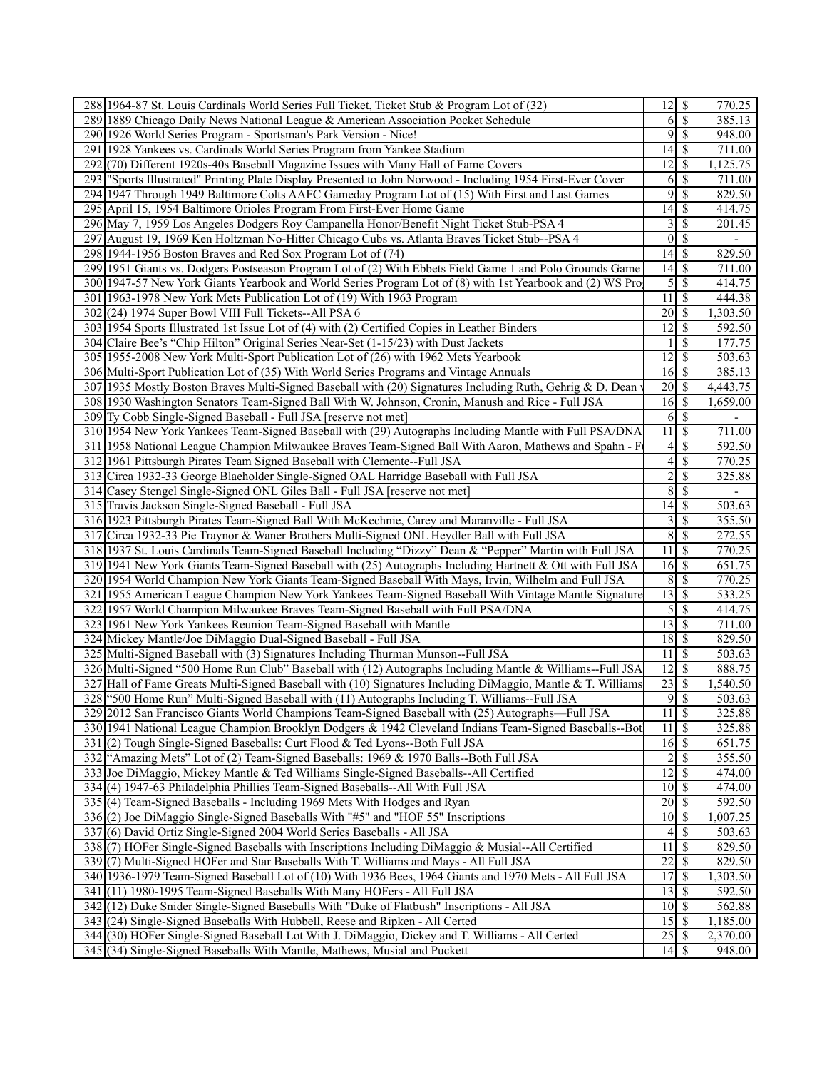| 288 1964-87 St. Louis Cardinals World Series Full Ticket, Ticket Stub & Program Lot of (32)                                                                          |                                              |                          | 770.25                   |
|----------------------------------------------------------------------------------------------------------------------------------------------------------------------|----------------------------------------------|--------------------------|--------------------------|
| 289 1889 Chicago Daily News National League & American Association Pocket Schedule                                                                                   | 6                                            | $\sqrt{S}$               | 385.13                   |
| 290 1926 World Series Program - Sportsman's Park Version - Nice!                                                                                                     | 9                                            | $\overline{\mathcal{S}}$ | 948.00                   |
| 291 1928 Yankees vs. Cardinals World Series Program from Yankee Stadium                                                                                              |                                              |                          | 711.00                   |
| 292 (70) Different 1920s-40s Baseball Magazine Issues with Many Hall of Fame Covers                                                                                  | 12                                           | \$                       | 1,125.75                 |
| 293 Sports Illustrated" Printing Plate Display Presented to John Norwood - Including 1954 First-Ever Cover                                                           | 6                                            | $\mathcal{S}$            | 711.00                   |
| 294 1947 Through 1949 Baltimore Colts AAFC Gameday Program Lot of (15) With First and Last Games                                                                     | 9                                            | \$                       | 829.50                   |
| 295 April 15, 1954 Baltimore Orioles Program From First-Ever Home Game                                                                                               |                                              |                          | 414.75                   |
| 296 May 7, 1959 Los Angeles Dodgers Roy Campanella Honor/Benefit Night Ticket Stub-PSA 4                                                                             | $3\overline{3}$                              |                          | 201.45                   |
| 297 August 19, 1969 Ken Holtzman No-Hitter Chicago Cubs vs. Atlanta Braves Ticket Stub--PSA 4                                                                        | $0 \mid \mathsf{S}$                          |                          | $\overline{\phantom{a}}$ |
| 298 1944-1956 Boston Braves and Red Sox Program Lot of (74)                                                                                                          |                                              |                          | 829.50                   |
| 299 1951 Giants vs. Dodgers Postseason Program Lot of (2) With Ebbets Field Game 1 and Polo Grounds Game                                                             |                                              |                          | 711.00                   |
| 300 1947-57 New York Giants Yearbook and World Series Program Lot of (8) with 1st Yearbook and (2) WS Pro                                                            | $5 \overline{\smash{)}\,}$                   |                          | 414.75                   |
| 301 1963-1978 New York Mets Publication Lot of (19) With 1963 Program                                                                                                | 11                                           | $\overline{\mathcal{S}}$ | 444.38                   |
| 302 (24) 1974 Super Bowl VIII Full Tickets--All PSA 6                                                                                                                |                                              |                          | 1,303.50                 |
| 303 1954 Sports Illustrated 1st Issue Lot of (4) with (2) Certified Copies in Leather Binders                                                                        | 12                                           | <sup>\$</sup>            | 592.50                   |
| 304 Claire Bee's "Chip Hilton" Original Series Near-Set (1-15/23) with Dust Jackets                                                                                  |                                              | S                        | 177.75                   |
| 305 1955-2008 New York Multi-Sport Publication Lot of (26) with 1962 Mets Yearbook                                                                                   | 12                                           | l \$                     | 503.63                   |
| 306 Multi-Sport Publication Lot of (35) With World Series Programs and Vintage Annuals                                                                               |                                              |                          | 385.13                   |
| 307 1935 Mostly Boston Braves Multi-Signed Baseball with (20) Signatures Including Ruth, Gehrig & D. Dean                                                            | $20\sqrt{3}$                                 |                          | 4,443.75                 |
| 308 1930 Washington Senators Team-Signed Ball With W. Johnson, Cronin, Manush and Rice - Full JSA                                                                    | $16 \mid$ \$                                 |                          | 1,659.00                 |
| 309 Ty Cobb Single-Signed Baseball - Full JSA [reserve not met]                                                                                                      |                                              |                          | $\overline{\phantom{a}}$ |
| 310 1954 New York Yankees Team-Signed Baseball with (29) Autographs Including Mantle with Full PSA/DNA                                                               | 11                                           | S                        | 711.00                   |
| 311 1958 National League Champion Milwaukee Braves Team-Signed Ball With Aaron, Mathews and Spahn - F                                                                | $4\vert$                                     | $\mathcal{S}$            | 592.50                   |
| 312 1961 Pittsburgh Pirates Team Signed Baseball with Clemente--Full JSA                                                                                             | 4                                            | $\mathbb{S}$             | 770.25                   |
| 313 Circa 1932-33 George Blaeholder Single-Signed OAL Harridge Baseball with Full JSA                                                                                | $\overline{c}$                               | \$                       | 325.88                   |
| 314 Casey Stengel Single-Signed ONL Giles Ball - Full JSA [reserve not met]                                                                                          | 8                                            | $\mathcal{S}$            | $\overline{\phantom{a}}$ |
| 315 Travis Jackson Single-Signed Baseball - Full JSA                                                                                                                 | 14                                           | \$                       | 503.63                   |
| 316 1923 Pittsburgh Pirates Team-Signed Ball With McKechnie, Carey and Maranville - Full JSA                                                                         | 3                                            | \$                       | 355.50                   |
| 317 Circa 1932-33 Pie Traynor & Waner Brothers Multi-Signed ONL Heydler Ball with Full JSA                                                                           | $\overline{8}$                               | l \$                     | 272.55                   |
| 318 1937 St. Louis Cardinals Team-Signed Baseball Including "Dizzy" Dean & "Pepper" Martin with Full JSA                                                             | 11                                           | \$                       | 770.25                   |
| 319 1941 New York Giants Team-Signed Baseball with (25) Autographs Including Hartnett & Ott with Full JSA                                                            | $16\overline{\smash{)}\,}$                   |                          | 651.75                   |
| 320 1954 World Champion New York Giants Team-Signed Baseball With Mays, Irvin, Wilhelm and Full JSA                                                                  |                                              |                          | 770.25                   |
| 321 1955 American League Champion New York Yankees Team-Signed Baseball With Vintage Mantle Signature                                                                |                                              |                          | 533.25                   |
| 322 1957 World Champion Milwaukee Braves Team-Signed Baseball with Full PSA/DNA                                                                                      | $\mathfrak{S}$                               | \$                       | 414.75                   |
| 323 1961 New York Yankees Reunion Team-Signed Baseball with Mantle                                                                                                   |                                              |                          | 711.00                   |
| 324 Mickey Mantle/Joe DiMaggio Dual-Signed Baseball - Full JSA                                                                                                       | $18$ $\sqrt{5}$                              |                          | 829.50                   |
| 325 Multi-Signed Baseball with (3) Signatures Including Thurman Munson--Full JSA                                                                                     | 11                                           | \$                       | 503.63                   |
| 326 Multi-Signed "500 Home Run Club" Baseball with (12) Autographs Including Mantle & Williams--Full JSA                                                             | $12\sqrt{3}$                                 |                          | 888.75                   |
| 327 Hall of Fame Greats Multi-Signed Baseball with (10) Signatures Including DiMaggio, Mantle & T. Williams                                                          | $\overline{23}$ \$                           |                          | 1,540.50                 |
| 328 ["500 Home Run" Multi-Signed Baseball with (11) Autographs Including T. Williams--Full JSA                                                                       | 9S                                           |                          | 503.63                   |
| 329 2012 San Francisco Giants World Champions Team-Signed Baseball with (25) Autographs—Full JSA                                                                     | $11 \overline{\smash{\big)}\, \, \text{\$}}$ |                          | 325.88                   |
| 330 1941 National League Champion Brooklyn Dodgers & 1942 Cleveland Indians Team-Signed Baseballs--Bot                                                               | $11 \overline{\smash{)}\,}$                  |                          | 325.88                   |
|                                                                                                                                                                      |                                              |                          |                          |
| 331(2) Tough Single-Signed Baseballs: Curt Flood & Ted Lyons--Both Full JSA<br>332 "Amazing Mets" Lot of (2) Team-Signed Baseballs: 1969 & 1970 Balls--Both Full JSA | 16S<br>$\overline{c}$                        | $\overline{\mathcal{S}}$ | 651.75<br>355.50         |
|                                                                                                                                                                      |                                              |                          |                          |
| 333 Joe DiMaggio, Mickey Mantle & Ted Williams Single-Signed Baseballs--All Certified                                                                                | $12 \mid$ \$                                 |                          | 474.00                   |
| 334 (4) 1947-63 Philadelphia Phillies Team-Signed Baseballs--All With Full JSA                                                                                       | $10 \mid$ \$<br>$\overline{20}$ \$           |                          | 474.00                   |
| 335(4) Team-Signed Baseballs - Including 1969 Mets With Hodges and Ryan                                                                                              |                                              |                          | 592.50                   |
| 336(2) Joe DiMaggio Single-Signed Baseballs With "#5" and "HOF 55" Inscriptions                                                                                      |                                              |                          | 1,007.25                 |
| 337(6) David Ortiz Single-Signed 2004 World Series Baseballs - All JSA                                                                                               | 4                                            | $\overline{\phantom{a}}$ | 503.63                   |
| 338(7) HOFer Single-Signed Baseballs with Inscriptions Including DiMaggio & Musial--All Certified                                                                    | 11                                           | $\mathcal{S}$            | 829.50                   |
| 339(7) Multi-Signed HOFer and Star Baseballs With T. Williams and Mays - All Full JSA                                                                                |                                              |                          | 829.50                   |
| 340 1936-1979 Team-Signed Baseball Lot of (10) With 1936 Bees, 1964 Giants and 1970 Mets - All Full JSA                                                              | 17S                                          |                          | 1,303.50                 |
| 341 (11) 1980-1995 Team-Signed Baseballs With Many HOFers - All Full JSA                                                                                             | $13 \mid$ \$                                 |                          | 592.50                   |
| 342 (12) Duke Snider Single-Signed Baseballs With "Duke of Flatbush" Inscriptions - All JSA                                                                          | $10 \mid$ \$                                 |                          | 562.88                   |
| 343 (24) Single-Signed Baseballs With Hubbell, Reese and Ripken - All Certed                                                                                         |                                              |                          | 1,185.00                 |
| 344 (30) HOFer Single-Signed Baseball Lot With J. DiMaggio, Dickey and T. Williams - All Certed                                                                      | $25 \overline{\smash{)}\,}$                  |                          | 2,370.00                 |
| 345 (34) Single-Signed Baseballs With Mantle, Mathews, Musial and Puckett                                                                                            |                                              |                          | 948.00                   |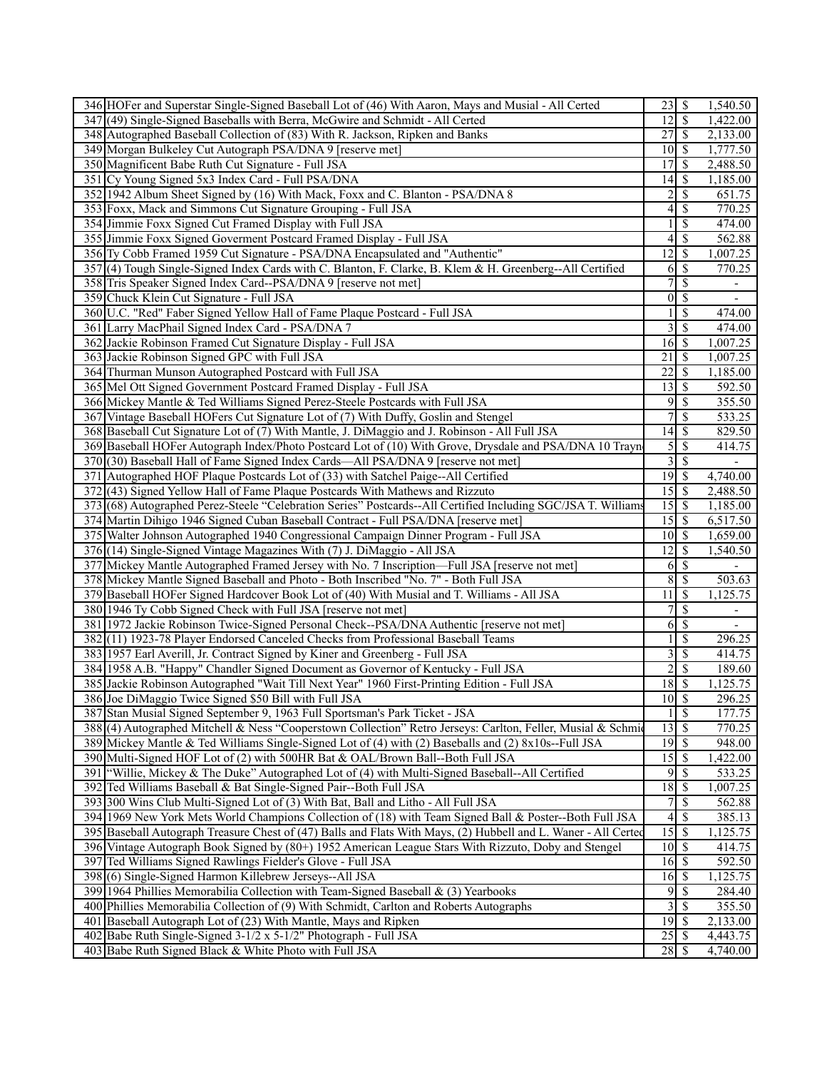| 346 HOFer and Superstar Single-Signed Baseball Lot of (46) With Aaron, Mays and Musial - All Certed            | 23             | -S                              | 1,540.50                 |
|----------------------------------------------------------------------------------------------------------------|----------------|---------------------------------|--------------------------|
| 347 (49) Single-Signed Baseballs with Berra, McGwire and Schmidt - All Certed                                  | 12             | $\mathcal{S}$                   | 1,422.00                 |
| 348 Autographed Baseball Collection of (83) With R. Jackson, Ripken and Banks                                  | 27             | $\mathbb{S}$                    | 2,133.00                 |
| 349 Morgan Bulkeley Cut Autograph PSA/DNA 9 [reserve met]                                                      |                | $10\sqrt{3}$                    | 1,777.50                 |
| 350 Magnificent Babe Ruth Cut Signature - Full JSA                                                             | 17             | S                               | 2,488.50                 |
| 351 Cy Young Signed 5x3 Index Card - Full PSA/DNA                                                              | 14             | S                               | 1,185.00                 |
| 352 1942 Album Sheet Signed by (16) With Mack, Foxx and C. Blanton - PSA/DNA 8                                 | $\overline{c}$ | $\mathbb{S}$                    | 651.75                   |
| 353 Foxx, Mack and Simmons Cut Signature Grouping - Full JSA                                                   | 4              | \$                              | 770.25                   |
| 354 Jimmie Foxx Signed Cut Framed Display with Full JSA                                                        | $\mathbf{1}$   | \$                              | 474.00                   |
| 355 Jimmie Foxx Signed Goverment Postcard Framed Display - Full JSA                                            | 4              | \$                              | 562.88                   |
| 356 Ty Cobb Framed 1959 Cut Signature - PSA/DNA Encapsulated and "Authentic"                                   | 12             | S                               | 1,007.25                 |
| 357(4) Tough Single-Signed Index Cards with C. Blanton, F. Clarke, B. Klem & H. Greenberg--All Certified       | 6              | \$                              | 770.25                   |
|                                                                                                                | $\overline{7}$ | <sup>\$</sup>                   |                          |
| 358 Tris Speaker Signed Index Card--PSA/DNA 9 [reserve not met]                                                |                |                                 | $\overline{\phantom{a}}$ |
| 359 Chuck Klein Cut Signature - Full JSA                                                                       | $\overline{0}$ | $\mathcal{S}$                   |                          |
| 360 U.C. "Red" Faber Signed Yellow Hall of Fame Plaque Postcard - Full JSA                                     | $\mathbf{1}$   | \$                              | 474.00                   |
| 361 Larry MacPhail Signed Index Card - PSA/DNA 7                                                               | $\overline{3}$ | $\mathcal{S}$                   | 474.00                   |
| 362 Jackie Robinson Framed Cut Signature Display - Full JSA                                                    | 16             | S                               | 1,007.25                 |
| 363 Jackie Robinson Signed GPC with Full JSA                                                                   | 21             | S                               | 1,007.25                 |
| 364 Thurman Munson Autographed Postcard with Full JSA                                                          | 22             | \$                              | 1,185.00                 |
| 365 Mel Ott Signed Government Postcard Framed Display - Full JSA                                               | 13             | \$                              | 592.50                   |
| 366 Mickey Mantle & Ted Williams Signed Perez-Steele Postcards with Full JSA                                   | 9              | $\mathcal{S}$                   | 355.50                   |
| 367 Vintage Baseball HOFers Cut Signature Lot of (7) With Duffy, Goslin and Stengel                            | 7              | \$                              | 533.25                   |
| 368 Baseball Cut Signature Lot of (7) With Mantle, J. DiMaggio and J. Robinson - All Full JSA                  | 14             | \$                              | 829.50                   |
| 369 Baseball HOFer Autograph Index/Photo Postcard Lot of (10) With Grove, Drysdale and PSA/DNA 10 Trayn        | $\overline{5}$ | <sup>\$</sup>                   | 414.75                   |
| 370 (30) Baseball Hall of Fame Signed Index Cards—All PSA/DNA 9 [reserve not met]                              | $\overline{3}$ | $\overline{\mathcal{S}}$        |                          |
| 371 Autographed HOF Plaque Postcards Lot of (33) with Satchel Paige--All Certified                             | 19             | $\mathcal{S}$                   | 4,740.00                 |
| 372(43) Signed Yellow Hall of Fame Plaque Postcards With Mathews and Rizzuto                                   |                |                                 | 2,488.50                 |
| 373 (68) Autographed Perez-Steele "Celebration Series" Postcards--All Certified Including SGC/JSA T. Williams  | 15             | \$                              | 1,185.00                 |
| 374 Martin Dihigo 1946 Signed Cuban Baseball Contract - Full PSA/DNA [reserve met]                             | 15             | <sup>\$</sup>                   | 6,517.50                 |
| 375 Walter Johnson Autographed 1940 Congressional Campaign Dinner Program - Full JSA                           |                | $10\vert S$                     | 1,659.00                 |
| 376 (14) Single-Signed Vintage Magazines With (7) J. DiMaggio - All JSA                                        | 12             | \$                              | 1,540.50                 |
| 377 Mickey Mantle Autographed Framed Jersey with No. 7 Inscription—Full JSA [reserve not met]                  | 6              | <sup>\$</sup>                   |                          |
| 378 Mickey Mantle Signed Baseball and Photo - Both Inscribed "No. 7" - Both Full JSA                           | $\overline{8}$ | $\mathbb{S}$                    | 503.63                   |
| 379 Baseball HOFer Signed Hardcover Book Lot of (40) With Musial and T. Williams - All JSA                     | 11             | \$                              | 1,125.75                 |
| 380 1946 Ty Cobb Signed Check with Full JSA [reserve not met]                                                  | $\overline{7}$ | \$                              |                          |
| 381 1972 Jackie Robinson Twice-Signed Personal Check--PSA/DNA Authentic [reserve not met]                      | 6              | <sup>\$</sup>                   |                          |
| 382 (11) 1923-78 Player Endorsed Canceled Checks from Professional Baseball Teams                              |                | \$                              | 296.25                   |
| 383 1957 Earl Averill, Jr. Contract Signed by Kiner and Greenberg - Full JSA                                   | $\overline{3}$ | $\mathbb{S}$                    | 414.75                   |
| 384 1958 A.B. "Happy" Chandler Signed Document as Governor of Kentucky - Full JSA                              | $\overline{2}$ | <sup>\$</sup>                   | 189.60                   |
| 385 Jackie Robinson Autographed "Wait Till Next Year" 1960 First-Printing Edition - Full JSA                   |                | $18$ $\sqrt{5}$                 | 1,125.75                 |
| 386 Joe DiMaggio Twice Signed \$50 Bill with Full JSA                                                          |                | $10 \overline{\smash{)}\,}$     | 296.25                   |
| 387 Stan Musial Signed September 9, 1963 Full Sportsman's Park Ticket - JSA                                    |                | $1 \overline{\smash{3}}$        | 177.75                   |
| 388 (4) Autographed Mitchell & Ness "Cooperstown Collection" Retro Jerseys: Carlton, Feller, Musial & Schmid   |                | $\overline{13}$ $\overline{\$}$ | 770.25                   |
| 389 Mickey Mantle & Ted Williams Single-Signed Lot of (4) with (2) Baseballs and (2) 8x10s--Full JSA           |                | $19$ \$                         | 948.00                   |
| 390 Multi-Signed HOF Lot of (2) with 500HR Bat & OAL/Brown Ball--Both Full JSA                                 | 15             | $\mathbb{S}$                    | 1,422.00                 |
| 391 Willie, Mickey & The Duke" Autographed Lot of (4) with Multi-Signed Baseball--All Certified                | 9              | \$                              | 533.25                   |
| 392 Ted Williams Baseball & Bat Single-Signed Pair--Both Full JSA                                              | 18             | <sup>\$</sup>                   | 1,007.25                 |
| 393 300 Wins Club Multi-Signed Lot of (3) With Bat, Ball and Litho - All Full JSA                              | 7 <sup>1</sup> | \$                              | 562.88                   |
| 394 1969 New York Mets World Champions Collection of (18) with Team Signed Ball & Poster--Both Full JSA        | 4              | <sup>\$</sup>                   | 385.13                   |
| 395 Baseball Autograph Treasure Chest of (47) Balls and Flats With Mays, (2) Hubbell and L. Waner - All Certed |                | $15 \overline{\smash{)}\,}$     | 1,125.75                 |
| 396 Vintage Autograph Book Signed by (80+) 1952 American League Stars With Rizzuto, Doby and Stengel           |                | $10\overline{\smash{)}\,}$      | 414.75                   |
| 397 Ted Williams Signed Rawlings Fielder's Glove - Full JSA                                                    |                | $16 \mid$ \$                    | 592.50                   |
| 398(6) Single-Signed Harmon Killebrew Jerseys--All JSA                                                         | 16             | \$                              | 1,125.75                 |
| 399 1964 Phillies Memorabilia Collection with Team-Signed Baseball $\&$ (3) Yearbooks                          | $\overline{9}$ | \$                              | 284.40                   |
| 400 Phillies Memorabilia Collection of (9) With Schmidt, Carlton and Roberts Autographs                        | $\overline{3}$ | $\mathbb{S}$                    | 355.50                   |
| 401 Baseball Autograph Lot of (23) With Mantle, Mays and Ripken                                                |                | 19S                             | 2,133.00                 |
| 402 Babe Ruth Single-Signed 3-1/2 x 5-1/2" Photograph - Full JSA                                               |                |                                 | 4,443.75                 |
| 403 Babe Ruth Signed Black & White Photo with Full JSA                                                         |                |                                 | 4,740.00                 |
|                                                                                                                |                |                                 |                          |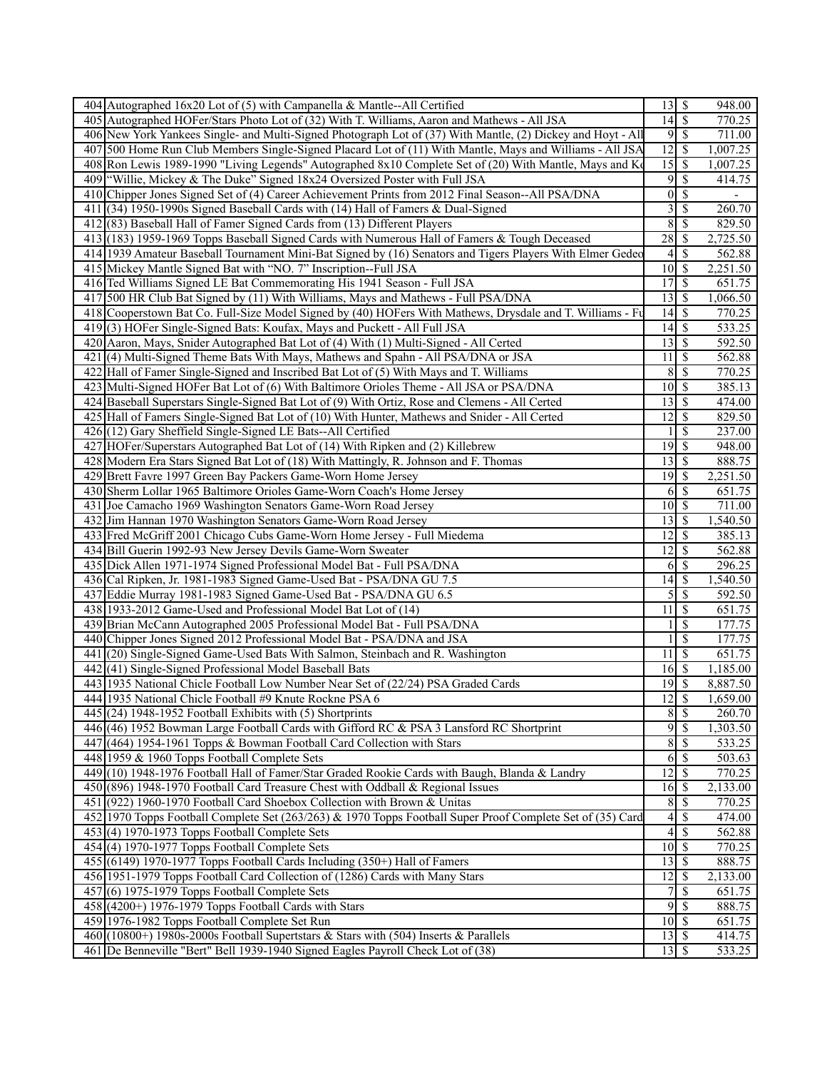| 404 Autographed 16x20 Lot of (5) with Campanella & Mantle--All Certified                                    | $\overline{13}$ $\overline{5}$ |                            | 948.00   |
|-------------------------------------------------------------------------------------------------------------|--------------------------------|----------------------------|----------|
| 405 Autographed HOFer/Stars Photo Lot of (32) With T. Williams, Aaron and Mathews - All JSA                 | $\overline{14}$ \$             |                            | 770.25   |
| 406 New York Yankees Single- and Multi-Signed Photograph Lot of (37) With Mantle, (2) Dickey and Hoyt - All |                                | 9S                         | 711.00   |
| 407 500 Home Run Club Members Single-Signed Placard Lot of (11) With Mantle, Mays and Williams - All JSA    | $12 \mid$ \$                   |                            | 1,007.25 |
| 408 Ron Lewis 1989-1990 "Living Legends" Autographed 8x10 Complete Set of (20) With Mantle, Mays and Ko     | $\overline{15}$ \$             |                            | 1,007.25 |
| 409   "Willie, Mickey & The Duke" Signed 18x24 Oversized Poster with Full JSA                               |                                | $9 \overline{\smash{)}\,}$ | 414.75   |
| 410 Chipper Jones Signed Set of (4) Career Achievement Prints from 2012 Final Season--All PSA/DNA           |                                | $0\sqrt{S}$                | ٠        |
| 411 (34) 1950-1990s Signed Baseball Cards with (14) Hall of Famers & Dual-Signed                            | $\overline{3}$                 | $\overline{\mathcal{S}}$   | 260.70   |
| 412(83) Baseball Hall of Famer Signed Cards from (13) Different Players                                     |                                | $8 \overline{)}$           | 829.50   |
| 413 (183) 1959-1969 Topps Baseball Signed Cards with Numerous Hall of Famers & Tough Deceased               | $28 \mid$ \$                   |                            | 2,725.50 |
| 414 1939 Amateur Baseball Tournament Mini-Bat Signed by (16) Senators and Tigers Players With Elmer Gedec   | $\frac{4}{ }$                  | $\mathcal{S}$              | 562.88   |
| 415 Mickey Mantle Signed Bat with "NO. 7" Inscription--Full JSA                                             | $10 \overline{\smash{)}\,}$    |                            | 2,251.50 |
| 416 Ted Williams Signed LE Bat Commemorating His 1941 Season - Full JSA                                     | 17S                            |                            | 651.75   |
| 417 500 HR Club Bat Signed by (11) With Williams, Mays and Mathews - Full PSA/DNA                           | $13 \mid$ \$                   |                            | 1,066.50 |
| 418 Cooperstown Bat Co. Full-Size Model Signed by (40) HOFers With Mathews, Drysdale and T. Williams - Fu   |                                |                            | 770.25   |
| 419(3) HOFer Single-Signed Bats: Koufax, Mays and Puckett - All Full JSA                                    | $14 \mid$ \$                   |                            | 533.25   |
|                                                                                                             | $13 \mid$ \$                   |                            | 592.50   |
| 420 Aaron, Mays, Snider Autographed Bat Lot of (4) With (1) Multi-Signed - All Certed                       |                                |                            |          |
| 421 (4) Multi-Signed Theme Bats With Mays, Mathews and Spahn - All PSA/DNA or JSA                           | 11                             | \$                         | 562.88   |
| 422 Hall of Famer Single-Signed and Inscribed Bat Lot of (5) With Mays and T. Williams                      |                                | 8S                         | 770.25   |
| 423 Multi-Signed HOFer Bat Lot of (6) With Baltimore Orioles Theme - All JSA or PSA/DNA                     | $10\overline{\smash{)}\,}$     |                            | 385.13   |
| 424 Baseball Superstars Single-Signed Bat Lot of (9) With Ortiz, Rose and Clemens - All Certed              | $13 \mid$ \$                   |                            | 474.00   |
| 425 Hall of Famers Single-Signed Bat Lot of (10) With Hunter, Mathews and Snider - All Certed               | $\overline{12}$ \$             |                            | 829.50   |
| 426(12) Gary Sheffield Single-Signed LE Bats--All Certified                                                 |                                | $\boldsymbol{\mathsf{S}}$  | 237.00   |
| 427 HOFer/Superstars Autographed Bat Lot of (14) With Ripken and (2) Killebrew                              | $19$ $\overline{\text{S}}$     |                            | 948.00   |
| 428 Modern Era Stars Signed Bat Lot of (18) With Mattingly, R. Johnson and F. Thomas                        | $13 \mid$ \$                   |                            | 888.75   |
| 429 Brett Favre 1997 Green Bay Packers Game-Worn Home Jersey                                                | $\overline{19}$ \$             |                            | 2,251.50 |
| 430 Sherm Lollar 1965 Baltimore Orioles Game-Worn Coach's Home Jersey                                       | 6                              | l \$                       | 651.75   |
| 431 Joe Camacho 1969 Washington Senators Game-Worn Road Jersey                                              | $10 \mid$ \$                   |                            | 711.00   |
| 432 Jim Hannan 1970 Washington Senators Game-Worn Road Jersey                                               |                                |                            | 1,540.50 |
| 433 Fred McGriff 2001 Chicago Cubs Game-Worn Home Jersey - Full Miedema                                     | $12 \mid$ \$                   |                            | 385.13   |
| 434 Bill Guerin 1992-93 New Jersey Devils Game-Worn Sweater                                                 | 12                             | $\mathbb{S}$               | 562.88   |
| 435 Dick Allen 1971-1974 Signed Professional Model Bat - Full PSA/DNA                                       | 6                              | $\sqrt{s}$                 | 296.25   |
| 436 Cal Ripken, Jr. 1981-1983 Signed Game-Used Bat - PSA/DNA GU 7.5                                         |                                |                            | 1,540.50 |
| 437 Eddie Murray 1981-1983 Signed Game-Used Bat - PSA/DNA GU 6.5                                            | 5                              | \$                         | 592.50   |
| 438 1933-2012 Game-Used and Professional Model Bat Lot of (14)                                              | 11                             | $\sqrt{S}$                 | 651.75   |
| 439 Brian McCann Autographed 2005 Professional Model Bat - Full PSA/DNA                                     |                                | $\overline{\mathcal{S}}$   | 177.75   |
| 440 Chipper Jones Signed 2012 Professional Model Bat - PSA/DNA and JSA                                      |                                | $\mathcal{S}$              | 177.75   |
| 441 (20) Single-Signed Game-Used Bats With Salmon, Steinbach and R. Washington                              | 11                             | $\overline{\mathcal{S}}$   | 651.75   |
| 442 (41) Single-Signed Professional Model Baseball Bats                                                     | $16 \overline{\smash{)}\,}$    |                            | 1,185.00 |
| 443 1935 National Chicle Football Low Number Near Set of (22/24) PSA Graded Cards                           | 19                             | \$                         | 8,887.50 |
| 444 1935 National Chicle Football #9 Knute Rockne PSA 6                                                     |                                |                            | 1,659.00 |
| $445$ (24) 1948-1952 Football Exhibits with (5) Shortprints                                                 |                                | 8S                         | 260.70   |
| 446 (46) 1952 Bowman Large Football Cards with Gifford RC & PSA 3 Lansford RC Shortprint                    |                                | 9s                         | 1,303.50 |
| 447 (464) 1954-1961 Topps & Bowman Football Card Collection with Stars                                      |                                | 8S                         | 533.25   |
| 448 1959 & 1960 Topps Football Complete Sets                                                                |                                | $6\sqrt{5}$                | 503.63   |
| 449 (10) 1948-1976 Football Hall of Famer/Star Graded Rookie Cards with Baugh, Blanda & Landry              | $12 \mid$ \$                   |                            | 770.25   |
| 450 (896) 1948-1970 Football Card Treasure Chest with Oddball & Regional Issues                             | $16 \overline{\smash{)}\,}$    |                            | 2,133.00 |
| 451 (922) 1960-1970 Football Card Shoebox Collection with Brown & Unitas                                    | $8\,$                          | $\sqrt{s}$                 | 770.25   |
| 452 1970 Topps Football Complete Set (263/263) & 1970 Topps Football Super Proof Complete Set of (35) Card  | 4                              | $\mathcal{S}$              | 474.00   |
| $453(4) 1970-1973$ Topps Football Complete Sets                                                             |                                | $\overline{4}$ s           | 562.88   |
| $454(4) 1970-1977$ Topps Football Complete Sets                                                             | $10 \overline{\smash{)}\,}$    |                            | 770.25   |
| 455 (6149) 1970-1977 Topps Football Cards Including (350+) Hall of Famers                                   | $13 \mid$ \$                   |                            | 888.75   |
| 456 1951-1979 Topps Football Card Collection of (1286) Cards with Many Stars                                | $12 \mid$ \$                   |                            | 2,133.00 |
| $457(6)$ 1975-1979 Topps Football Complete Sets                                                             | $\overline{7}$                 | $\overline{\mathcal{S}}$   | 651.75   |
|                                                                                                             | 9                              | $\overline{\mathcal{S}}$   | 888.75   |
| $458$ (4200+) 1976-1979 Topps Football Cards with Stars                                                     | $10 \mid$ \$                   |                            | 651.75   |
| 459 1976-1982 Topps Football Complete Set Run                                                               |                                |                            |          |
| 460 (10800+) 1980s-2000s Football Supertstars & Stars with (504) Inserts & Parallels                        | $13 \mid$ \$                   |                            | 414.75   |
| 461 De Benneville "Bert" Bell 1939-1940 Signed Eagles Payroll Check Lot of (38)                             | $13 \mid$ \$                   |                            | 533.25   |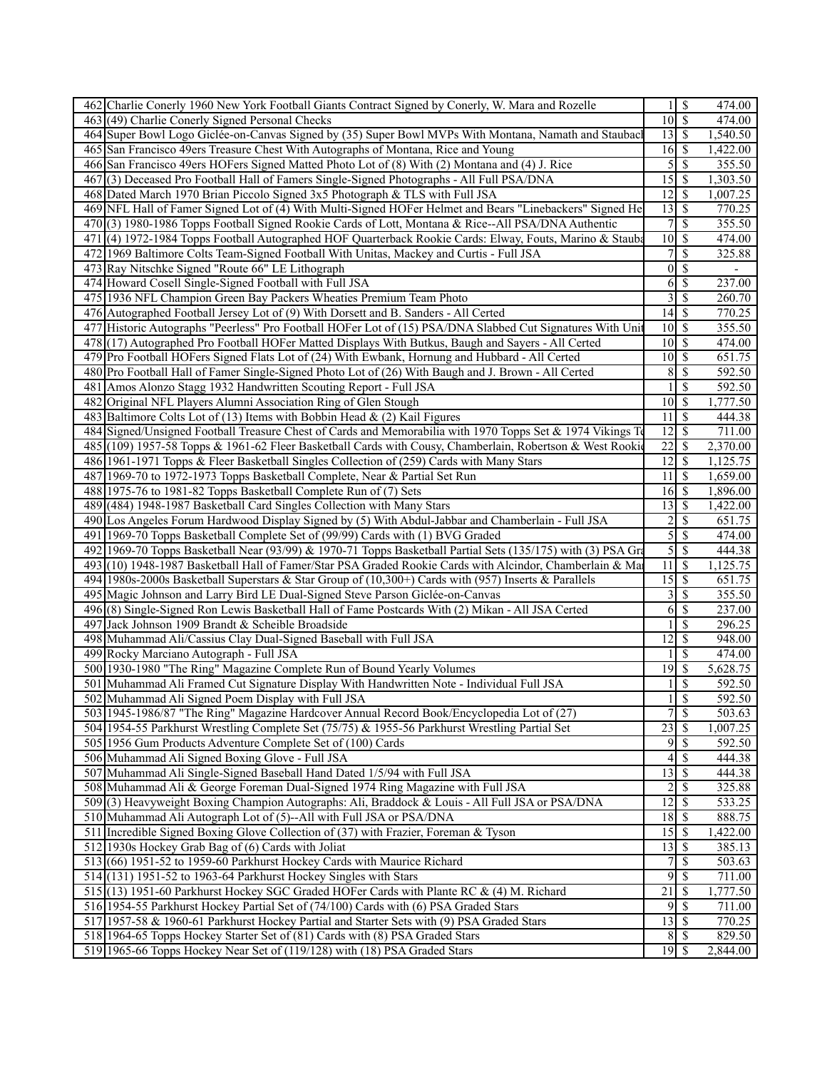| 462 Charlie Conerly 1960 New York Football Giants Contract Signed by Conerly, W. Mara and Rozelle                                                         | $\sqrt{s}$<br>474.00<br>1 <sup>1</sup>                        |
|-----------------------------------------------------------------------------------------------------------------------------------------------------------|---------------------------------------------------------------|
| 463(49) Charlie Conerly Signed Personal Checks                                                                                                            | $10\overline{\smash{)}\,}$<br>474.00                          |
| 464 Super Bowl Logo Giclée-on-Canvas Signed by (35) Super Bowl MVPs With Montana, Namath and Staubac                                                      | $13 \mid$ \$<br>1,540.50                                      |
| 465 San Francisco 49ers Treasure Chest With Autographs of Montana, Rice and Young                                                                         | 16<br>$\sqrt{S}$<br>1,422.00                                  |
| 466 San Francisco 49ers HOFers Signed Matted Photo Lot of (8) With (2) Montana and (4) J. Rice                                                            | 5<br>\$<br>355.50                                             |
| 467(3) Deceased Pro Football Hall of Famers Single-Signed Photographs - All Full PSA/DNA                                                                  | 15<br>$\mathbb{S}$<br>1,303.50                                |
| 468 Dated March 1970 Brian Piccolo Signed 3x5 Photograph & TLS with Full JSA                                                                              | 12<br><sup>\$</sup><br>1,007.25                               |
| 469 NFL Hall of Famer Signed Lot of (4) With Multi-Signed HOFer Helmet and Bears "Linebackers" Signed He                                                  | 13S<br>770.25                                                 |
| 470(3) 1980-1986 Topps Football Signed Rookie Cards of Lott, Montana & Rice--All PSA/DNA Authentic                                                        | $\overline{7}$<br>$\sqrt{s}$<br>355.50                        |
| 471 (4) 1972-1984 Topps Football Autographed HOF Quarterback Rookie Cards: Elway, Fouts, Marino & Stauba                                                  | 10<br>$\mathbb{S}$<br>474.00                                  |
| 472 1969 Baltimore Colts Team-Signed Football With Unitas, Mackey and Curtis - Full JSA                                                                   | $\overline{7}$<br>\$<br>325.88                                |
| 473 Ray Nitschke Signed "Route 66" LE Lithograph                                                                                                          | $\overline{0}$<br>$\mathbb{S}$                                |
| 474 Howard Cosell Single-Signed Football with Full JSA                                                                                                    | $\overline{\mathcal{S}}$<br>6<br>237.00                       |
| 475 1936 NFL Champion Green Bay Packers Wheaties Premium Team Photo                                                                                       | $\overline{\mathcal{S}}$<br>$\overline{\mathbf{3}}$<br>260.70 |
| 476 Autographed Football Jersey Lot of (9) With Dorsett and B. Sanders - All Certed                                                                       | $14 \overline{\text{S}}$<br>770.25                            |
| 477 Historic Autographs "Peerless" Pro Football HOFer Lot of (15) PSA/DNA Slabbed Cut Signatures With Unit                                                | 10<br>$\mathbb{S}$<br>355.50                                  |
| 478 (17) Autographed Pro Football HOFer Matted Displays With Butkus, Baugh and Sayers - All Certed                                                        | 10<br>S<br>474.00                                             |
| 479 Pro Football HOFers Signed Flats Lot of (24) With Ewbank, Hornung and Hubbard - All Certed                                                            | 10<br>$\mathcal{S}$<br>651.75                                 |
| 480 Pro Football Hall of Famer Single-Signed Photo Lot of (26) With Baugh and J. Brown - All Certed                                                       | $\overline{\$}$<br>8<br>592.50                                |
| 481 Amos Alonzo Stagg 1932 Handwritten Scouting Report - Full JSA                                                                                         | <sup>\$</sup><br>592.50                                       |
| 482 Original NFL Players Alumni Association Ring of Glen Stough                                                                                           | $10 \mid$ \$<br>1,777.50                                      |
| 483 Baltimore Colts Lot of (13) Items with Bobbin Head $\&$ (2) Kail Figures                                                                              | \$<br>11<br>444.38                                            |
| 484 Signed/Unsigned Football Treasure Chest of Cards and Memorabilia with 1970 Topps Set & 1974 Vikings To                                                | $\overline{12}$<br>$\mathbb{S}$<br>711.00                     |
| 485 (109) 1957-58 Topps & 1961-62 Fleer Basketball Cards with Cousy, Chamberlain, Robertson & West Rookie                                                 | 22<br><sup>\$</sup><br>2,370.00                               |
| 486 1961-1971 Topps & Fleer Basketball Singles Collection of (259) Cards with Many Stars                                                                  | 12<br>$\overline{\mathcal{S}}$<br>1,125.75                    |
| 487 1969-70 to 1972-1973 Topps Basketball Complete, Near & Partial Set Run                                                                                | 11<br><sup>S</sup><br>1,659.00                                |
| 488 1975-76 to 1981-82 Topps Basketball Complete Run of (7) Sets                                                                                          | $16\overline{3}$<br>1,896.00                                  |
| 489 (484) 1948-1987 Basketball Card Singles Collection with Many Stars                                                                                    | 13<br>$\mathbb{S}$<br>1,422.00                                |
| 490 Los Angeles Forum Hardwood Display Signed by (5) With Abdul-Jabbar and Chamberlain - Full JSA                                                         | $\sqrt{2}$<br>\$<br>651.75                                    |
| 491 1969-70 Topps Basketball Complete Set of (99/99) Cards with (1) BVG Graded                                                                            | $\overline{5}$<br><sup>\$</sup><br>474.00                     |
| 492 1969-70 Topps Basketball Near (93/99) & 1970-71 Topps Basketball Partial Sets (135/175) with (3) PSA Gra                                              | $\overline{5}$<br>$\overline{\mathcal{S}}$<br>444.38          |
| 493(10) 1948-1987 Basketball Hall of Famer/Star PSA Graded Rookie Cards with Alcindor, Chamberlain & Ma                                                   | 11<br>$\mathbb{S}$<br>1,125.75                                |
| 494 1980s-2000s Basketball Superstars & Star Group of (10,300+) Cards with (957) Inserts & Parallels                                                      | $\overline{15}$ \$<br>651.75                                  |
| 495 Magic Johnson and Larry Bird LE Dual-Signed Steve Parson Giclée-on-Canvas                                                                             | 3<br>\$<br>355.50                                             |
| 496(8) Single-Signed Ron Lewis Basketball Hall of Fame Postcards With (2) Mikan - All JSA Certed                                                          | 6<br>$\mathbb{S}$<br>237.00                                   |
| 497 Jack Johnson 1909 Brandt & Scheible Broadside                                                                                                         | $\overline{\mathcal{S}}$<br>1<br>296.25                       |
| 498 Muhammad Ali/Cassius Clay Dual-Signed Baseball with Full JSA                                                                                          | $\overline{\mathcal{S}}$<br>$\overline{12}$<br>948.00         |
| 499 Rocky Marciano Autograph - Full JSA                                                                                                                   | $\mathbb{S}$<br>474.00                                        |
| 500 1930-1980 "The Ring" Magazine Complete Run of Bound Yearly Volumes                                                                                    | $19$ \$<br>5,628.75                                           |
|                                                                                                                                                           | $\mathbb{S}$<br>592.50                                        |
| 501 Muhammad Ali Framed Cut Signature Display With Handwritten Note - Individual Full JSA                                                                 |                                                               |
|                                                                                                                                                           |                                                               |
| 502 Muhammad Ali Signed Poem Display with Full JSA                                                                                                        | $\overline{\mathcal{S}}$<br>592.50<br>1                       |
| 503 1945-1986/87 "The Ring" Magazine Hardcover Annual Record Book/Encyclopedia Lot of (27)                                                                | 7s<br>503.63                                                  |
| 504 1954-55 Parkhurst Wrestling Complete Set (75/75) & 1955-56 Parkhurst Wrestling Partial Set                                                            | \$<br>23<br>1,007.25                                          |
| 505 1956 Gum Products Adventure Complete Set of (100) Cards                                                                                               | 95<br>592.50                                                  |
| 506 Muhammad Ali Signed Boxing Glove - Full JSA                                                                                                           | 4<br>-S<br>444.38                                             |
| 507 Muhammad Ali Single-Signed Baseball Hand Dated 1/5/94 with Full JSA                                                                                   | 13<br>$\mathbb{S}$<br>444.38                                  |
| 508 Muhammad Ali & George Foreman Dual-Signed 1974 Ring Magazine with Full JSA                                                                            | $\overline{2}$<br>$\mathbb{S}$<br>325.88                      |
| 509(3) Heavyweight Boxing Champion Autographs: Ali, Braddock & Louis - All Full JSA or PSA/DNA                                                            | 12S<br>533.25                                                 |
| 510 Muhammad Ali Autograph Lot of (5)--All with Full JSA or PSA/DNA                                                                                       | 888.75                                                        |
| 511 Incredible Signed Boxing Glove Collection of (37) with Frazier, Foreman & Tyson                                                                       | 15S<br>1,422.00                                               |
| 512 1930s Hockey Grab Bag of (6) Cards with Joliat                                                                                                        | 13<br>$\sqrt{S}$<br>385.13                                    |
| 513 (66) 1951-52 to 1959-60 Parkhurst Hockey Cards with Maurice Richard                                                                                   | 7<br>\$<br>503.63                                             |
| 514 (131) 1951-52 to 1963-64 Parkhurst Hockey Singles with Stars                                                                                          | $\overline{9}$<br>$\mathcal{S}$<br>711.00                     |
| 515 (13) 1951-60 Parkhurst Hockey SGC Graded HOFer Cards with Plante RC & (4) M. Richard                                                                  | 21<br>-S<br>1,777.50                                          |
| 516 1954-55 Parkhurst Hockey Partial Set of (74/100) Cards with (6) PSA Graded Stars                                                                      | $\overline{\mathcal{S}}$<br>9<br>711.00                       |
| 517 1957-58 & 1960-61 Parkhurst Hockey Partial and Starter Sets with (9) PSA Graded Stars                                                                 | $13 \mid$ \$<br>770.25                                        |
| 518 1964-65 Topps Hockey Starter Set of (81) Cards with (8) PSA Graded Stars<br>519 1965-66 Topps Hockey Near Set of (119/128) with (18) PSA Graded Stars | $8\phantom{.}$<br>$\sqrt{S}$<br>829.50<br>$19$ \$<br>2,844.00 |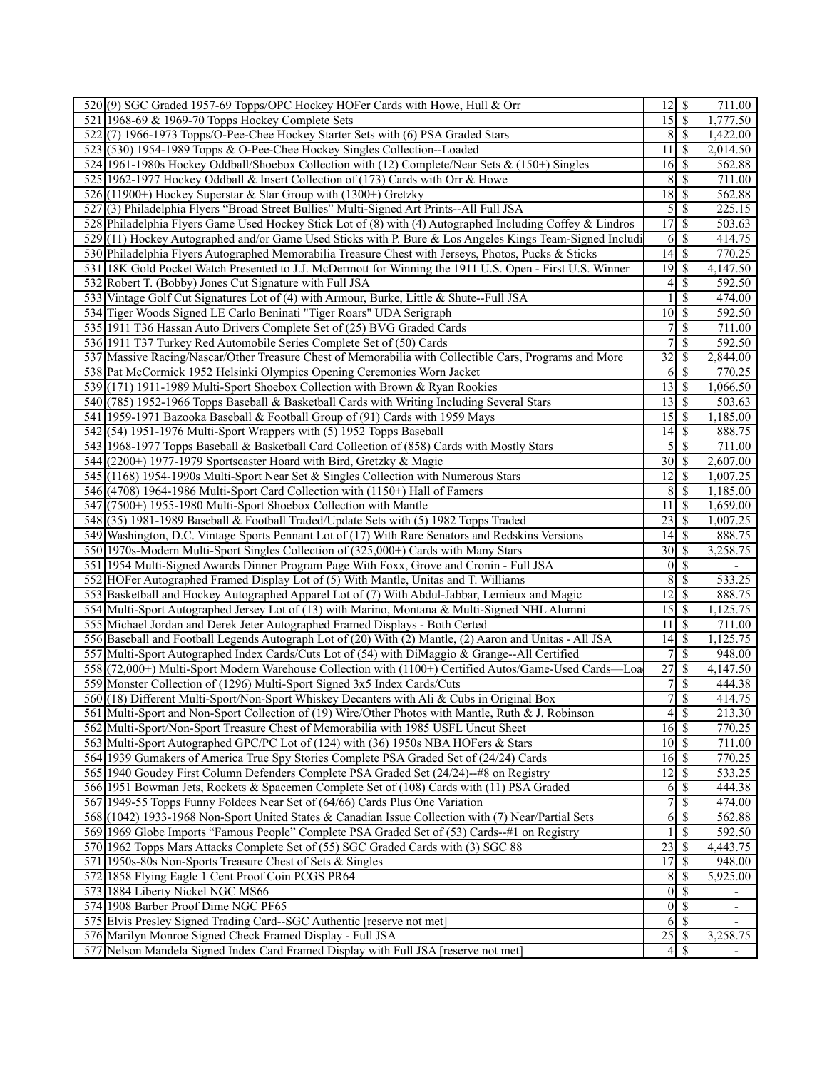| 520(9) SGC Graded 1957-69 Topps/OPC Hockey HOFer Cards with Howe, Hull & Orr                              | $12 \mid$ \$                |                          | 711.00              |
|-----------------------------------------------------------------------------------------------------------|-----------------------------|--------------------------|---------------------|
| 521 1968-69 & 1969-70 Topps Hockey Complete Sets                                                          | $15\overline{\smash{)}\,}$  |                          | 1,777.50            |
| 522(7) 1966-1973 Topps/O-Pee-Chee Hockey Starter Sets with (6) PSA Graded Stars                           | $8 \mid S$                  |                          | 1,422.00            |
| 523 (530) 1954-1989 Topps & O-Pee-Chee Hockey Singles Collection--Loaded                                  | 11                          | \$                       | 2,014.50            |
| 524 1961-1980s Hockey Oddball/Shoebox Collection with (12) Complete/Near Sets & (150+) Singles            | 16                          | l \$                     | 562.88              |
| 525 1962-1977 Hockey Oddball & Insert Collection of (173) Cards with Orr & Howe                           | 8                           | \$                       | 711.00              |
| 526 (11900+) Hockey Superstar & Star Group with (1300+) Gretzky                                           | 18                          | $\overline{\mathcal{S}}$ | 562.88              |
| 527 (3) Philadelphia Flyers "Broad Street Bullies" Multi-Signed Art Prints--All Full JSA                  | 5                           | $\overline{\mathcal{S}}$ | 225.15              |
| 528 Philadelphia Flyers Game Used Hockey Stick Lot of (8) with (4) Autographed Including Coffey & Lindros | $\overline{17}$             | $\overline{\mathbf{s}}$  | 503.63              |
| 529(11) Hockey Autographed and/or Game Used Sticks with P. Bure & Los Angeles Kings Team-Signed Includi   | 6                           | $\mathcal{S}$            | 414.75              |
| 530 Philadelphia Flyers Autographed Memorabilia Treasure Chest with Jerseys, Photos, Pucks & Sticks       |                             |                          | 770.25              |
| 531 18K Gold Pocket Watch Presented to J.J. McDermott for Winning the 1911 U.S. Open - First U.S. Winner  | $\overline{19}$ \$          |                          | 4,147.50            |
| 532 Robert T. (Bobby) Jones Cut Signature with Full JSA                                                   | 4                           | \$                       | 592.50              |
| 533 Vintage Golf Cut Signatures Lot of (4) with Armour, Burke, Little & Shute--Full JSA                   |                             | \$                       | 474.00              |
| 534 Tiger Woods Signed LE Carlo Beninati "Tiger Roars" UDA Serigraph                                      | $\overline{10}$ \$          |                          | 592.50              |
| 535 1911 T36 Hassan Auto Drivers Complete Set of (25) BVG Graded Cards                                    |                             | \$                       | 711.00              |
| 536 1911 T37 Turkey Red Automobile Series Complete Set of (50) Cards                                      |                             | \$                       | 592.50              |
| 537 Massive Racing/Nascar/Other Treasure Chest of Memorabilia with Collectible Cars, Programs and More    | $\overline{32}$             | <sup>\$</sup>            | 2,844.00            |
| 538 Pat McCormick 1952 Helsinki Olympics Opening Ceremonies Worn Jacket                                   | 6                           | $\overline{\mathcal{S}}$ | 770.25              |
| 539 (171) 1911-1989 Multi-Sport Shoebox Collection with Brown & Ryan Rookies                              | 13                          | <sup>\$</sup>            | 1,066.50            |
| 540 (785) 1952-1966 Topps Baseball & Basketball Cards with Writing Including Several Stars                | $13 \mid S$                 |                          | 503.63              |
| 541 1959-1971 Bazooka Baseball & Football Group of (91) Cards with 1959 Mays                              | 15                          | l \$                     | 1,185.00            |
| 542(54) 1951-1976 Multi-Sport Wrappers with (5) 1952 Topps Baseball                                       | 14                          | l \$                     | 888.75              |
| 543 1968-1977 Topps Baseball & Basketball Card Collection of (858) Cards with Mostly Stars                | $\mathfrak{S}$              | l \$                     | 711.00              |
| 544 (2200+) 1977-1979 Sportscaster Hoard with Bird, Gretzky & Magic                                       |                             |                          | 2,607.00            |
| 545 (1168) 1954-1990s Multi-Sport Near Set & Singles Collection with Numerous Stars                       | 12                          | $\mathbf{\$}$            | 1,007.25            |
| 546 (4708) 1964-1986 Multi-Sport Card Collection with (1150+) Hall of Famers                              | 8                           | S                        | 1,185.00            |
| 547 (7500+) 1955-1980 Multi-Sport Shoebox Collection with Mantle                                          | 11                          | $\mathcal{S}$            | 1,659.00            |
| 548(35) 1981-1989 Baseball & Football Traded/Update Sets with (5) 1982 Topps Traded                       | 23                          | \$                       | 1,007.25            |
| 549 Washington, D.C. Vintage Sports Pennant Lot of (17) With Rare Senators and Redskins Versions          | $14$ $\sqrt{5}$             |                          | 888.75              |
| 550 1970s-Modern Multi-Sport Singles Collection of (325,000+) Cards with Many Stars                       |                             |                          | 3,258.75            |
| 551 1954 Multi-Signed Awards Dinner Program Page With Foxx, Grove and Cronin - Full JSA                   | 0                           | \$                       |                     |
| 552 HOFer Autographed Framed Display Lot of (5) With Mantle, Unitas and T. Williams                       | 8                           | $\overline{\mathcal{S}}$ | 533.25              |
| 553 Basketball and Hockey Autographed Apparel Lot of (7) With Abdul-Jabbar, Lemieux and Magic             | $12 \mid$ \$                |                          | 888.75              |
| 554 Multi-Sport Autographed Jersey Lot of (13) with Marino, Montana & Multi-Signed NHL Alumni             | 15                          | $\sqrt{S}$               | 1,125.75            |
| 555 Michael Jordan and Derek Jeter Autographed Framed Displays - Both Certed                              | 11                          | S                        | 711.00              |
| 556 Baseball and Football Legends Autograph Lot of (20) With (2) Mantle, (2) Aaron and Unitas - All JSA   | 14                          | $\mathcal{S}$            | 1,125.75            |
| 557 Multi-Sport Autographed Index Cards/Cuts Lot of (54) with DiMaggio & Grange--All Certified            | $\overline{7}$              | $\mathbf S$              | 948.00              |
| 558](72,000+) Multi-Sport Modern Warehouse Collection with (1100+) Certified Autos/Game-Used Cards-Loa    | 27                          | \$                       | 4,147.50            |
| 559 Monster Collection of (1296) Multi-Sport Signed 3x5 Index Cards/Cuts                                  | $7\overline{\smash{5}}$     |                          | 444.38              |
| 560 (18) Different Multi-Sport/Non-Sport Whiskey Decanters with Ali & Cubs in Original Box                |                             | $\overline{7}$ s         | 414.75              |
| 561 Multi-Sport and Non-Sport Collection of (19) Wire/Other Photos with Mantle, Ruth & J. Robinson        |                             | $4 \overline{\sqrt{}}$   | 213.30              |
| 562 Multi-Sport/Non-Sport Treasure Chest of Memorabilia with 1985 USFL Uncut Sheet                        | 16S                         |                          | 770.25              |
| 563 Multi-Sport Autographed GPC/PC Lot of (124) with (36) 1950s NBA HOFers & Stars                        | $10 \overline{\smash{)}\,}$ |                          | 711.00              |
| 564 1939 Gumakers of America True Spy Stories Complete PSA Graded Set of (24/24) Cards                    |                             |                          | 770.25              |
| 565 1940 Goudey First Column Defenders Complete PSA Graded Set (24/24)--#8 on Registry                    | $12 \mid$ \$                |                          | 533.25              |
| 566 1951 Bowman Jets, Rockets & Spacemen Complete Set of (108) Cards with (11) PSA Graded                 | 6                           | S                        | 444.38              |
| 567 1949-55 Topps Funny Foldees Near Set of (64/66) Cards Plus One Variation                              | 7                           | $\mathcal{S}$            | 474.00              |
| 568 (1042) 1933-1968 Non-Sport United States & Canadian Issue Collection with (7) Near/Partial Sets       | 6                           | $\mathcal{S}$            | 562.88              |
| 569 1969 Globe Imports "Famous People" Complete PSA Graded Set of (53) Cards--#1 on Registry              |                             | $\overline{\mathcal{S}}$ | $\overline{592.50}$ |
| 570 1962 Topps Mars Attacks Complete Set of (55) SGC Graded Cards with (3) SGC 88                         | 23                          | \$                       | 4,443.75            |
| 571 1950s-80s Non-Sports Treasure Chest of Sets & Singles                                                 |                             |                          | 948.00              |
| 572 1858 Flying Eagle 1 Cent Proof Coin PCGS PR64                                                         | 8S                          |                          | 5,925.00            |
| 573 1884 Liberty Nickel NGC MS66                                                                          |                             | $0\sqrt{S}$              |                     |
| 574 1908 Barber Proof Dime NGC PF65                                                                       | $0 \mid S$                  |                          |                     |
| 575 Elvis Presley Signed Trading Card--SGC Authentic [reserve not met]                                    | $6 \mid$ \$                 |                          |                     |
| 576 Marilyn Monroe Signed Check Framed Display - Full JSA                                                 |                             |                          | 3,258.75            |
| 577 Nelson Mandela Signed Index Card Framed Display with Full JSA [reserve not met]                       |                             | $4$ \ $\frac{1}{3}$      |                     |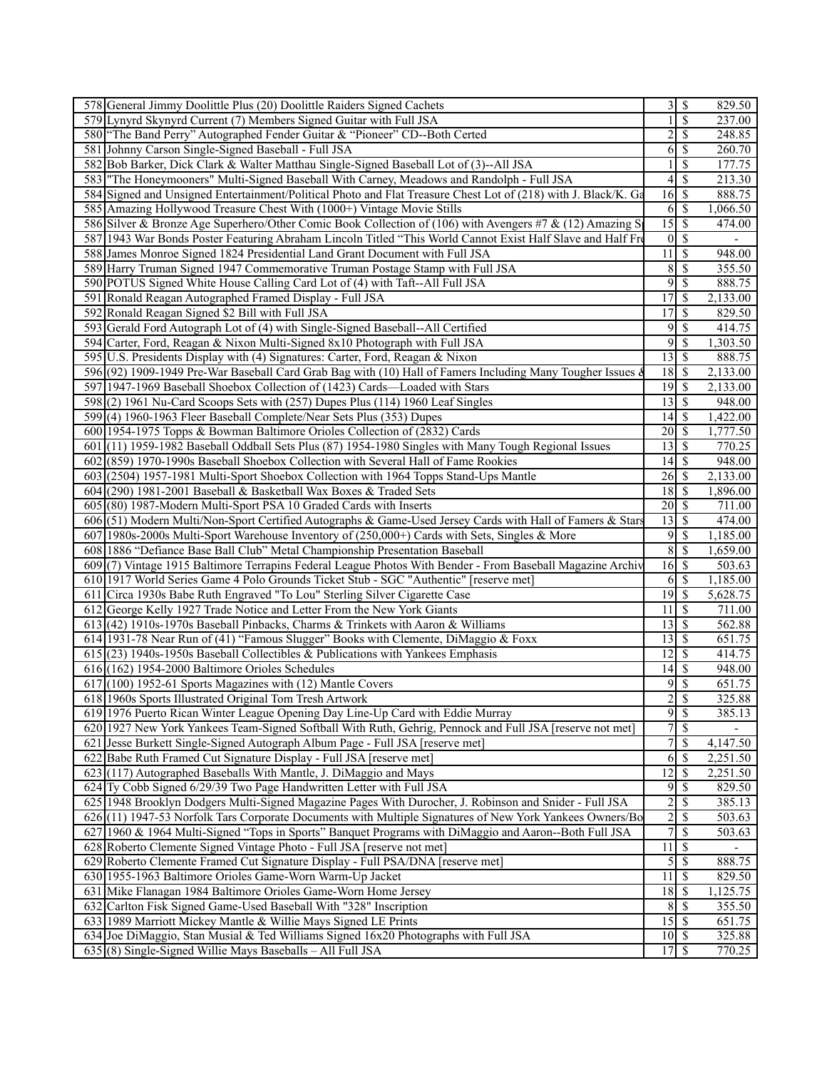| 578 General Jimmy Doolittle Plus (20) Doolittle Raiders Signed Cachets                                         |                                   | $3\overline{3}$           | 829.50   |
|----------------------------------------------------------------------------------------------------------------|-----------------------------------|---------------------------|----------|
| 579 Lynyrd Skynyrd Current (7) Members Signed Guitar with Full JSA                                             |                                   | \$                        | 237.00   |
| 580 The Band Perry" Autographed Fender Guitar & "Pioneer" CD--Both Certed                                      | $\overline{c}$                    | $\mathbb{S}$              | 248.85   |
| 581 Johnny Carson Single-Signed Baseball - Full JSA                                                            | 6                                 | $\overline{\mathcal{S}}$  | 260.70   |
| 582 Bob Barker, Dick Clark & Walter Matthau Single-Signed Baseball Lot of (3)--All JSA                         |                                   | \$                        | 177.75   |
| 583 The Honeymooners" Multi-Signed Baseball With Carney, Meadows and Randolph - Full JSA                       | 4                                 | $\overline{\mathcal{S}}$  | 213.30   |
| 584 Signed and Unsigned Entertainment/Political Photo and Flat Treasure Chest Lot of (218) with J. Black/K. Ga | $16 \overline{\smash{)}\,$ \$     |                           | 888.75   |
| 585 Amazing Hollywood Treasure Chest With (1000+) Vintage Movie Stills                                         |                                   | $6\sqrt{S}$               | 1,066.50 |
| 586 Silver & Bronze Age Superhero/Other Comic Book Collection of (106) with Avengers #7 & (12) Amazing S       | $\overline{15}$ \$                |                           | 474.00   |
| 587 1943 War Bonds Poster Featuring Abraham Lincoln Titled "This World Cannot Exist Half Slave and Half Fre    |                                   | $0 \mid S$                |          |
| 588 James Monroe Signed 1824 Presidential Land Grant Document with Full JSA                                    | $\overline{11}$                   | l \$                      | 948.00   |
| 589 Harry Truman Signed 1947 Commemorative Truman Postage Stamp with Full JSA                                  |                                   | 8S                        | 355.50   |
| 590 POTUS Signed White House Calling Card Lot of (4) with Taft--All Full JSA                                   | 9                                 | $\overline{\mathcal{S}}$  | 888.75   |
|                                                                                                                | 17                                |                           |          |
| 591 Ronald Reagan Autographed Framed Display - Full JSA                                                        |                                   | $\sqrt{s}$                | 2,133.00 |
| 592 Ronald Reagan Signed \$2 Bill with Full JSA                                                                | 17                                | \$                        | 829.50   |
| 593 Gerald Ford Autograph Lot of (4) with Single-Signed Baseball--All Certified                                | 9                                 | -S                        | 414.75   |
| 594 Carter, Ford, Reagan & Nixon Multi-Signed 8x10 Photograph with Full JSA                                    | 9                                 | $\sqrt{S}$                | 1,303.50 |
| 595 U.S. Presidents Display with (4) Signatures: Carter, Ford, Reagan & Nixon                                  | $13 \mid$ \$                      |                           | 888.75   |
| 596 (92) 1909-1949 Pre-War Baseball Card Grab Bag with (10) Hall of Famers Including Many Tougher Issues &     | $18\overline{3}$                  |                           | 2,133.00 |
| 597 1947-1969 Baseball Shoebox Collection of (1423) Cards—Loaded with Stars                                    | $19$ $\overline{\text{S}}$        |                           | 2,133.00 |
| 598(2) 1961 Nu-Card Scoops Sets with (257) Dupes Plus (114) 1960 Leaf Singles                                  | $13\overline{3}$                  |                           | 948.00   |
| 599(4) 1960-1963 Fleer Baseball Complete/Near Sets Plus (353) Dupes                                            |                                   |                           | 1,422.00 |
| 600 1954-1975 Topps & Bowman Baltimore Orioles Collection of (2832) Cards                                      | $20 \mid \mathsf{\$}$             |                           | 1,777.50 |
| 601 (11) 1959-1982 Baseball Oddball Sets Plus (87) 1954-1980 Singles with Many Tough Regional Issues           | 13S                               |                           | 770.25   |
| 602 (859) 1970-1990s Baseball Shoebox Collection with Several Hall of Fame Rookies                             | $\overline{14}$ \$                |                           | 948.00   |
| 603 (2504) 1957-1981 Multi-Sport Shoebox Collection with 1964 Topps Stand-Ups Mantle                           | $26 \overline{\smash{)}\,}$       |                           | 2,133.00 |
| 604 (290) 1981-2001 Baseball & Basketball Wax Boxes & Traded Sets                                              | $18 \mid$ \$                      |                           | 1,896.00 |
| 605 (80) 1987-Modern Multi-Sport PSA 10 Graded Cards with Inserts                                              | $20 \mid$ \$                      |                           | 711.00   |
| 606 (51) Modern Multi/Non-Sport Certified Autographs & Game-Used Jersey Cards with Hall of Famers & Stars      | $\overline{13}$ $\overline{\$}$   |                           | 474.00   |
| 607 1980s-2000s Multi-Sport Warehouse Inventory of (250,000+) Cards with Sets, Singles & More                  | 9                                 | $\overline{\mathcal{S}}$  | 1,185.00 |
| 608 1886 "Defiance Base Ball Club" Metal Championship Presentation Baseball                                    | 8                                 | $\overline{\mathcal{S}}$  | 1,659.00 |
| 609(7) Vintage 1915 Baltimore Terrapins Federal League Photos With Bender - From Baseball Magazine Archiv      | $16 \overline{\smash{)}\,}$       |                           | 503.63   |
| 610 1917 World Series Game 4 Polo Grounds Ticket Stub - SGC "Authentic" [reserve met]                          |                                   | 6S                        | 1,185.00 |
| 611 Circa 1930s Babe Ruth Engraved "To Lou" Sterling Silver Cigarette Case                                     | $\overline{19}$ \$                |                           | 5,628.75 |
| 612 George Kelly 1927 Trade Notice and Letter From the New York Giants                                         | 11                                | $\sqrt{S}$                | 711.00   |
| 613 (42) 1910s-1970s Baseball Pinbacks, Charms & Trinkets with Aaron & Williams                                | $\overline{13}$ $\overline{\$}$   |                           | 562.88   |
| 614 1931-78 Near Run of (41) "Famous Slugger" Books with Clemente, DiMaggio & Foxx                             | 13                                | $\overline{\mathbf{s}}$   | 651.75   |
| $615(23)$ 1940s-1950s Baseball Collectibles & Publications with Yankees Emphasis                               | $12 \mid$ \$                      |                           | 414.75   |
| $616(162)$ 1954-2000 Baltimore Orioles Schedules                                                               | 14                                | \$                        | 948.00   |
| $617(100)$ 1952-61 Sports Magazines with (12) Mantle Covers                                                    | 9                                 | S                         | 651.75   |
| 618 1960s Sports Illustrated Original Tom Tresh Artwork                                                        | $\overline{2}$                    | $\overline{\mathcal{S}}$  | 325.88   |
| 619 1976 Puerto Rican Winter League Opening Day Line-Up Card with Eddie Murray                                 |                                   | $9 \mid \text{\$}$        | 385.13   |
| 620 1927 New York Yankees Team-Signed Softball With Ruth, Gehrig, Pennock and Full JSA [reserve not met]       | $\overline{7}$                    | $\overline{\mathcal{S}}$  |          |
| 621 Jesse Burkett Single-Signed Autograph Album Page - Full JSA [reserve met]                                  | 7                                 | -\$                       | 4,147.50 |
| 622 Babe Ruth Framed Cut Signature Display - Full JSA [reserve met]                                            | 6                                 | $\mathcal{S}$             | 2,251.50 |
| 623(117) Autographed Baseballs With Mantle, J. DiMaggio and Mays                                               | $12 \overline{\smash{\big)}\,$ \$ |                           | 2,251.50 |
| 624 Ty Cobb Signed 6/29/39 Two Page Handwritten Letter with Full JSA                                           |                                   | $9$ \ $\frac{1}{3}$       | 829.50   |
| 625 1948 Brooklyn Dodgers Multi-Signed Magazine Pages With Durocher, J. Robinson and Snider - Full JSA         | $\overline{\mathbf{c}}$           | $\overline{\mathcal{S}}$  | 385.13   |
| 626(11) 1947-53 Norfolk Tars Corporate Documents with Multiple Signatures of New York Yankees Owners/Bo        | $\overline{2}$                    | \$                        | 503.63   |
| 627 1960 & 1964 Multi-Signed "Tops in Sports" Banquet Programs with DiMaggio and Aaron--Both Full JSA          | $\overline{7}$                    | $\overline{\mathcal{S}}$  | 503.63   |
| 628 Roberto Clemente Signed Vintage Photo - Full JSA [reserve not met]                                         | 11                                | $\mathcal{S}$             |          |
| 629 Roberto Clemente Framed Cut Signature Display - Full PSA/DNA [reserve met]                                 |                                   | $5\overline{\smash{)}\,}$ | 888.75   |
| 630 1955-1963 Baltimore Orioles Game-Worn Warm-Up Jacket                                                       | $\overline{11}$                   | $\sqrt{S}$                | 829.50   |
| 631 Mike Flanagan 1984 Baltimore Orioles Game-Worn Home Jersey                                                 |                                   |                           | 1,125.75 |
| 632 Carlton Fisk Signed Game-Used Baseball With "328" Inscription                                              |                                   | $8\sqrt{5}$               | 355.50   |
| 633 1989 Marriott Mickey Mantle & Willie Mays Signed LE Prints                                                 | $15 \mid$ \$                      |                           | 651.75   |
| 634 Joe DiMaggio, Stan Musial & Ted Williams Signed 16x20 Photographs with Full JSA                            | $10 \mid$ \$                      |                           | 325.88   |
| $635(8)$ Single-Signed Willie Mays Baseballs – All Full JSA                                                    |                                   |                           | 770.25   |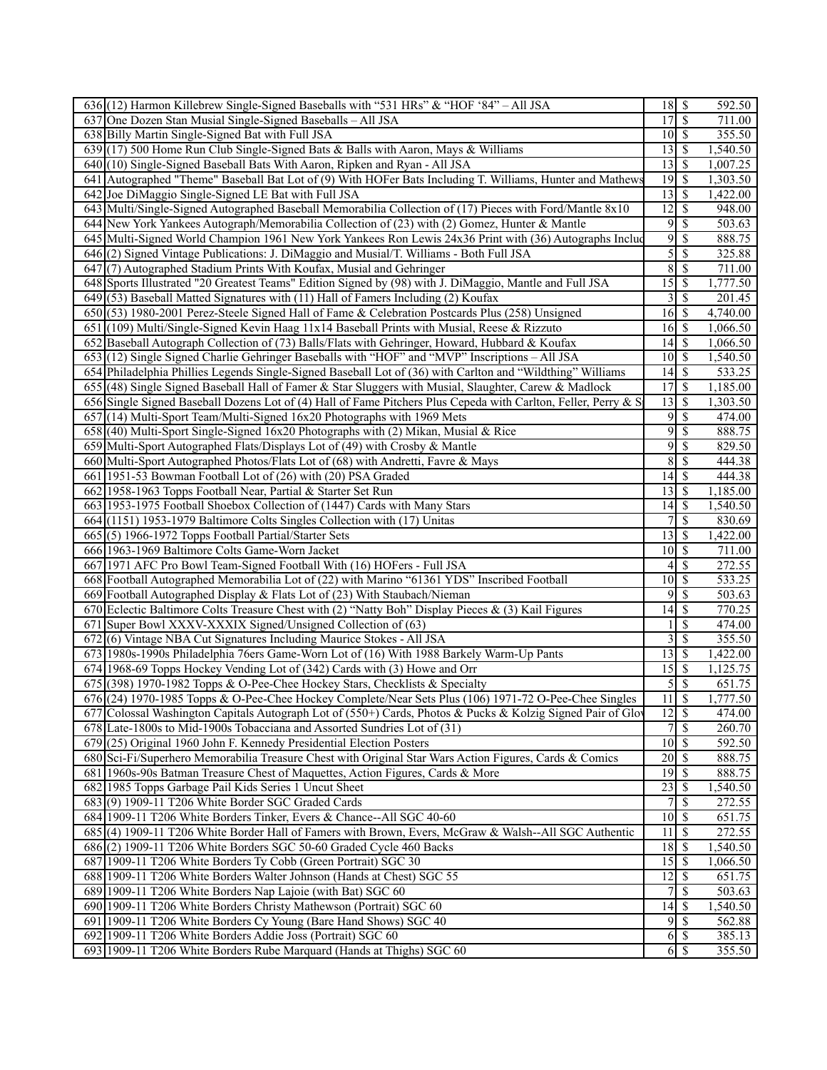| 636 (12) Harmon Killebrew Single-Signed Baseballs with "531 HRs" & "HOF '84" – All JSA                                               |                             |                          | 592.50              |
|--------------------------------------------------------------------------------------------------------------------------------------|-----------------------------|--------------------------|---------------------|
| 637 One Dozen Stan Musial Single-Signed Baseballs - All JSA                                                                          | 17                          | $\mathcal{S}$            | 711.00              |
| 638 Billy Martin Single-Signed Bat with Full JSA                                                                                     | $10 \mid$ \$                |                          | 355.50              |
| 639 (17) 500 Home Run Club Single-Signed Bats & Balls with Aaron, Mays & Williams                                                    | 13                          | S                        | 1,540.50            |
| 640(10) Single-Signed Baseball Bats With Aaron, Ripken and Ryan - All JSA                                                            | 13                          | -S                       | 1,007.25            |
| 641 Autographed "Theme" Baseball Bat Lot of (9) With HOFer Bats Including T. Williams, Hunter and Mathews                            |                             |                          | 1,303.50            |
| 642 Joe DiMaggio Single-Signed LE Bat with Full JSA                                                                                  | 13                          | -S                       | 1,422.00            |
| 643 Multi/Single-Signed Autographed Baseball Memorabilia Collection of (17) Pieces with Ford/Mantle 8x10                             | 12                          | -S                       | 948.00              |
| 644 New York Yankees Autograph/Memorabilia Collection of (23) with (2) Gomez, Hunter & Mantle                                        | $9$ $\sqrt{3}$              |                          | 503.63              |
| 645 Multi-Signed World Champion 1961 New York Yankees Ron Lewis 24x36 Print with (36) Autographs Include                             | 9                           | \$                       | 888.75              |
| 646 (2) Signed Vintage Publications: J. DiMaggio and Musial/T. Williams - Both Full JSA                                              | 5                           | \$                       | 325.88              |
| 647(7) Autographed Stadium Prints With Koufax, Musial and Gehringer                                                                  | 8                           | -\$                      | 711.00              |
| 648 Sports Illustrated "20 Greatest Teams" Edition Signed by (98) with J. DiMaggio, Mantle and Full JSA                              | 15                          | -S                       | 1,777.50            |
| 649 (53) Baseball Matted Signatures with (11) Hall of Famers Including (2) Koufax                                                    | 3                           | <sup>\$</sup>            | 201.45              |
| 650(53) 1980-2001 Perez-Steele Signed Hall of Fame & Celebration Postcards Plus (258) Unsigned                                       | $16 \mid S$                 |                          | 4,740.00            |
| 651 (109) Multi/Single-Signed Kevin Haag 11x14 Baseball Prints with Musial, Reese & Rizzuto                                          | $16 \mid S$                 |                          | 1,066.50            |
|                                                                                                                                      |                             |                          |                     |
| 652 Baseball Autograph Collection of (73) Balls/Flats with Gehringer, Howard, Hubbard & Koufax                                       | 14                          | -S                       | 1,066.50            |
| 653 (12) Single Signed Charlie Gehringer Baseballs with "HOF" and "MVP" Inscriptions – All JSA                                       | $10 \mid$ \$                |                          | 1,540.50            |
| 654 Philadelphia Phillies Legends Single-Signed Baseball Lot of (36) with Carlton and "Wildthing" Williams                           | 14                          | l \$                     | 533.25              |
| 655 (48) Single Signed Baseball Hall of Famer & Star Sluggers with Musial, Slaughter, Carew & Madlock                                | 17                          | <sup>\$</sup>            | 1,185.00            |
| 656 Single Signed Baseball Dozens Lot of (4) Hall of Fame Pitchers Plus Cepeda with Carlton, Feller, Perry & S                       | 13                          | -S                       | 1,303.50            |
| 657 (14) Multi-Sport Team/Multi-Signed 16x20 Photographs with 1969 Mets                                                              | 9                           | \$                       | 474.00              |
| $658$ (40) Multi-Sport Single-Signed 16x20 Photographs with (2) Mikan, Musial & Rice                                                 | 9                           | \$                       | 888.75              |
| 659 Multi-Sport Autographed Flats/Displays Lot of (49) with Crosby & Mantle                                                          | 9s                          |                          | 829.50              |
| 660 Multi-Sport Autographed Photos/Flats Lot of (68) with Andretti, Favre & Mays                                                     | 8                           | -S                       | 444.38              |
| 661 1951-53 Bowman Football Lot of (26) with (20) PSA Graded                                                                         | 14                          | -S                       | 444.38              |
| 662 1958-1963 Topps Football Near, Partial & Starter Set Run                                                                         | $13$ $\sigma$               |                          | 1,185.00            |
| 663 1953-1975 Football Shoebox Collection of (1447) Cards with Many Stars                                                            | 14                          | S                        | 1,540.50            |
| 664 (1151) 1953-1979 Baltimore Colts Singles Collection with (17) Unitas                                                             | 7                           | S                        | 830.69              |
| 665(5) 1966-1972 Topps Football Partial/Starter Sets                                                                                 | 13                          | l S                      | 1,422.00            |
| 666 1963-1969 Baltimore Colts Game-Worn Jacket                                                                                       | $10 \mid$ \$                |                          | 711.00              |
| 667 1971 AFC Pro Bowl Team-Signed Football With (16) HOFers - Full JSA                                                               | 4                           | S                        | 272.55              |
| 668 Football Autographed Memorabilia Lot of (22) with Marino "61361 YDS" Inscribed Football                                          | 10                          | -\$                      | 533.25              |
| 669 Football Autographed Display & Flats Lot of (23) With Staubach/Nieman                                                            | 9                           | <sup>\$</sup>            | 503.63              |
| 670 Eclectic Baltimore Colts Treasure Chest with (2) "Natty Boh" Display Pieces $\&$ (3) Kail Figures                                | 14                          | -S                       | 770.25              |
| 671 Super Bowl XXXV-XXXIX Signed/Unsigned Collection of (63)                                                                         |                             | -S                       | 474.00              |
| 672(6) Vintage NBA Cut Signatures Including Maurice Stokes - All JSA                                                                 | 3                           | <sup>\$</sup>            | 355.50              |
| 673 1980s-1990s Philadelphia 76ers Game-Worn Lot of (16) With 1988 Barkely Warm-Up Pants                                             | 13                          | -S                       | 1,422.00            |
| 674 1968-69 Topps Hockey Vending Lot of (342) Cards with (3) Howe and Orr                                                            | 15                          | -\$                      | 1,125.75            |
| 675 (398) 1970-1982 Topps & O-Pee-Chee Hockey Stars, Checklists & Specialty                                                          | $\overline{5}$              | $\overline{\mathcal{S}}$ | 651.75              |
| 676 (24) 1970-1985 Topps & O-Pee-Chee Hockey Complete/Near Sets Plus (106) 1971-72 O-Pee-Chee Singles                                | 11                          | $\sqrt{s}$               | 1,777.50            |
|                                                                                                                                      | $12 \mid$ \$                |                          | 474.00              |
| 677 Colossal Washington Capitals Autograph Lot of (550+) Cards, Photos & Pucks & Kolzig Signed Pair of Glo                           | $\overline{7}$              | $\mathcal{S}$            | 260.70              |
| 678 Late-1800s to Mid-1900s Tobacciana and Assorted Sundries Lot of (31)                                                             |                             |                          | $\overline{592.50}$ |
| 679(25) Original 1960 John F. Kennedy Presidential Election Posters                                                                  | $10 \overline{\smash{)}\,}$ | -S                       | 888.75              |
| 680 Sci-Fi/Superhero Memorabilia Treasure Chest with Original Star Wars Action Figures, Cards & Comics                               | 20                          |                          | 888.75              |
| 681 1960s-90s Batman Treasure Chest of Maquettes, Action Figures, Cards & More                                                       |                             |                          |                     |
| 682 1985 Topps Garbage Pail Kids Series 1 Uncut Sheet                                                                                | 23                          | -S                       | 1,540.50            |
| 683(9) 1909-11 T206 White Border SGC Graded Cards                                                                                    | 7                           | -S                       | 272.55              |
| 684 1909-11 T206 White Borders Tinker, Evers & Chance--All SGC 40-60                                                                 | $10 \mid$ \$                |                          | 651.75              |
| 685(4) 1909-11 T206 White Border Hall of Famers with Brown, Evers, McGraw & Walsh--All SGC Authentic                                 | 11                          | -\$                      | $\overline{272.55}$ |
| 686(2) 1909-11 T206 White Borders SGC 50-60 Graded Cycle 460 Backs                                                                   | 18                          | -\$                      | 1,540.50            |
| 687 1909-11 T206 White Borders Ty Cobb (Green Portrait) SGC 30                                                                       | $15$   \$                   |                          | 1,066.50            |
| 688 1909-11 T206 White Borders Walter Johnson (Hands at Chest) SGC 55                                                                | 12                          | l \$                     | 651.75              |
| 689 1909-11 T206 White Borders Nap Lajoie (with Bat) SGC 60                                                                          | $\overline{7}$              | $\mathcal{S}$            | 503.63              |
| 690 1909-11 T206 White Borders Christy Mathewson (Portrait) SGC 60                                                                   |                             |                          | 1,540.50            |
| 691 1909-11 T206 White Borders Cy Young (Bare Hand Shows) SGC 40                                                                     | 9S                          |                          | 562.88              |
| 692 1909-11 T206 White Borders Addie Joss (Portrait) SGC 60<br>693 1909-11 T206 White Borders Rube Marquard (Hands at Thighs) SGC 60 | $6 \mid$ \$<br>$6 \mid S$   |                          | 385.13<br>355.50    |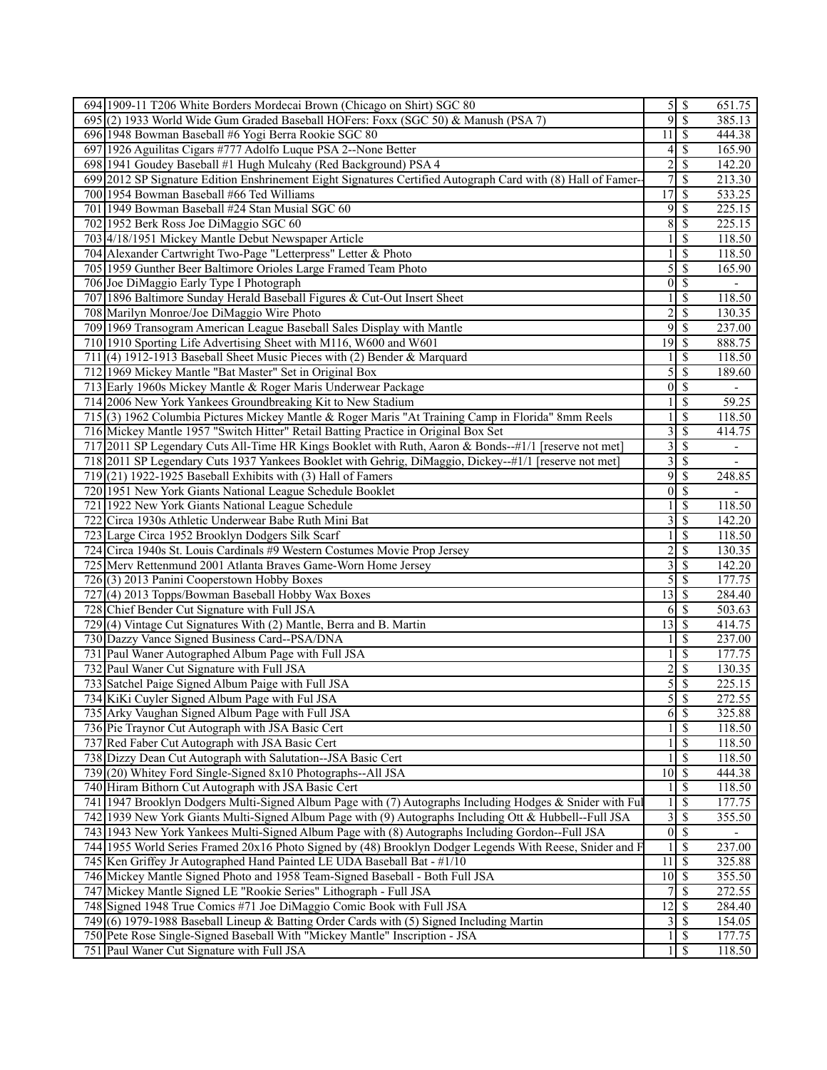| 694 1909-11 T206 White Borders Mordecai Brown (Chicago on Shirt) SGC 80                                      |                                         |                            | 651.75                   |
|--------------------------------------------------------------------------------------------------------------|-----------------------------------------|----------------------------|--------------------------|
| 695 (2) 1933 World Wide Gum Graded Baseball HOFers: Foxx (SGC 50) & Manush (PSA 7)                           |                                         | 9S                         | 385.13                   |
| 696 1948 Bowman Baseball #6 Yogi Berra Rookie SGC 80                                                         | 11                                      | \$                         | 444.38                   |
| 697 1926 Aguilitas Cigars #777 Adolfo Luque PSA 2--None Better                                               | $\frac{4}{3}$                           | \$                         | 165.90                   |
| 698 1941 Goudey Baseball #1 Hugh Mulcahy (Red Background) PSA 4                                              | $\overline{2}$                          | \$                         | 142.20                   |
| 699 2012 SP Signature Edition Enshrinement Eight Signatures Certified Autograph Card with (8) Hall of Famer- | $\overline{7}$                          | $\overline{\mathcal{S}}$   | 213.30                   |
| 700 1954 Bowman Baseball #66 Ted Williams                                                                    | 17                                      | $\overline{\mathbf{s}}$    | 533.25                   |
| 701 1949 Bowman Baseball #24 Stan Musial SGC 60                                                              | $9\sqrt{ }$                             | \$                         | 225.15                   |
| 702 1952 Berk Ross Joe DiMaggio SGC 60                                                                       | 8                                       | \$                         | 225.15                   |
|                                                                                                              | 1                                       |                            |                          |
| 703 4/18/1951 Mickey Mantle Debut Newspaper Article                                                          |                                         | \$                         | 118.50                   |
| 704 Alexander Cartwright Two-Page "Letterpress" Letter & Photo                                               |                                         | \$                         | 118.50                   |
| 705 1959 Gunther Beer Baltimore Orioles Large Framed Team Photo                                              | 5                                       | $\overline{\mathcal{S}}$   | 165.90                   |
| 706 Joe DiMaggio Early Type I Photograph                                                                     |                                         | $0\sqrt{s}$                |                          |
| 707 1896 Baltimore Sunday Herald Baseball Figures & Cut-Out Insert Sheet                                     |                                         | $\overline{\mathbb{S}}$    | 118.50                   |
| 708 Marilyn Monroe/Joe DiMaggio Wire Photo                                                                   | $\overline{\mathbf{c}}$                 | \$                         | 130.35                   |
| 709 1969 Transogram American League Baseball Sales Display with Mantle                                       | $9\sqrt{ }$                             | \$                         | 237.00                   |
| 710 1910 Sporting Life Advertising Sheet with M116, W600 and W601                                            | $19$ $\overline{\phantom{1}5}$          |                            | 888.75                   |
| 711 (4) 1912-1913 Baseball Sheet Music Pieces with (2) Bender & Marquard                                     |                                         | $\overline{\mathbb{S}}$    | 118.50                   |
| 712 1969 Mickey Mantle "Bat Master" Set in Original Box                                                      |                                         | $5\overline{8}$            | 189.60                   |
| 713 Early 1960s Mickey Mantle & Roger Maris Underwear Package                                                |                                         | $0\sqrt{s}$                | $\blacksquare$           |
| 714 2006 New York Yankees Groundbreaking Kit to New Stadium                                                  |                                         | \$                         | 59.25                    |
| 715 (3) 1962 Columbia Pictures Mickey Mantle & Roger Maris "At Training Camp in Florida" 8mm Reels           | 1                                       | \$                         | 118.50                   |
| 716 Mickey Mantle 1957 "Switch Hitter" Retail Batting Practice in Original Box Set                           |                                         | $3\overline{3}$            | 414.75                   |
| 717 2011 SP Legendary Cuts All-Time HR Kings Booklet with Ruth, Aaron & Bonds--#1/1 [reserve not met]        |                                         | 3S                         | $\overline{\phantom{a}}$ |
| 718 2011 SP Legendary Cuts 1937 Yankees Booklet with Gehrig, DiMaggio, Dickey--#1/1 [reserve not met]        |                                         | 3S                         |                          |
| $719(21)$ 1922-1925 Baseball Exhibits with (3) Hall of Famers                                                | $9\sqrt{ }$                             | $\overline{\$}$            | 248.85                   |
|                                                                                                              | $\overline{0}$                          | \$                         |                          |
| 720 1951 New York Giants National League Schedule Booklet                                                    |                                         |                            |                          |
| 721 1922 New York Giants National League Schedule                                                            |                                         | \$                         | 118.50                   |
| 722 Circa 1930s Athletic Underwear Babe Ruth Mini Bat                                                        | $\overline{3}$                          | $\overline{\mathcal{S}}$   | 142.20                   |
| 723 Large Circa 1952 Brooklyn Dodgers Silk Scarf                                                             |                                         | \$                         | 118.50                   |
| 724 Circa 1940s St. Louis Cardinals #9 Western Costumes Movie Prop Jersey                                    | $\overline{\mathbf{c}}$                 | \$                         | 130.35                   |
| 725 Merv Rettenmund 2001 Atlanta Braves Game-Worn Home Jersey                                                | $\overline{3}$                          | \$                         | 142.20                   |
| 726(3) 2013 Panini Cooperstown Hobby Boxes                                                                   | $\overline{5}$                          | \$                         | 177.75                   |
| 727 (4) 2013 Topps/Bowman Baseball Hobby Wax Boxes                                                           | $\overline{13}$ \ $\overline{\$}$       |                            | 284.40                   |
| 728 Chief Bender Cut Signature with Full JSA                                                                 |                                         | $6 \overline{\smash{)}\,}$ | 503.63                   |
| 729 (4) Vintage Cut Signatures With (2) Mantle, Berra and B. Martin                                          | $\overline{13}$ \ $\overline{\text{S}}$ |                            | 414.75                   |
| 730 Dazzy Vance Signed Business Card--PSA/DNA                                                                |                                         | $\overline{\mathcal{S}}$   | 237.00                   |
| 731<br>Paul Waner Autographed Album Page with Full JSA                                                       |                                         | \$                         | 177.75                   |
| 732 Paul Waner Cut Signature with Full JSA                                                                   | $\overline{\mathbf{c}}$                 | \$                         | 130.35                   |
| 733 Satchel Paige Signed Album Paige with Full JSA                                                           |                                         | 5s                         | 225.15                   |
| 734 KiKi Cuyler Signed Album Page with Ful JSA                                                               |                                         | 5S                         | 272.55                   |
| 735 Arky Vaughan Signed Album Page with Full JSA                                                             |                                         | $6 \mid$ \$                | 325.88                   |
| 736 Pie Traynor Cut Autograph with JSA Basic Cert                                                            |                                         | $\sqrt{s}$                 | 118.50                   |
| Red Faber Cut Autograph with JSA Basic Cert<br>737                                                           |                                         | $\sqrt{s}$                 | 118.50                   |
| 738 Dizzy Dean Cut Autograph with Salutation--JSA Basic Cert                                                 |                                         | \$                         | 118.50                   |
| 739 (20) Whitey Ford Single-Signed 8x10 Photographs--All JSA                                                 | $10 \overline{\smash{\big)} }$          |                            | 444.38                   |
| 740 Hiram Bithorn Cut Autograph with JSA Basic Cert                                                          |                                         | $\overline{\mathcal{S}}$   |                          |
|                                                                                                              |                                         |                            | 118.50                   |
| 741 1947 Brooklyn Dodgers Multi-Signed Album Page with (7) Autographs Including Hodges & Snider with Ful     |                                         | $\sqrt{s}$                 | 177.75                   |
| 742 1939 New York Giants Multi-Signed Album Page with (9) Autographs Including Ott & Hubbell--Full JSA       |                                         | $3 \mid S$                 | 355.50                   |
| 743 1943 New York Yankees Multi-Signed Album Page with (8) Autographs Including Gordon--Full JSA             |                                         | $0\sqrt{S}$                |                          |
| 744 1955 World Series Framed 20x16 Photo Signed by (48) Brooklyn Dodger Legends With Reese, Snider and F     |                                         | $1 \mid$ \$                | 237.00                   |
| 745 Ken Griffey Jr Autographed Hand Painted LE UDA Baseball Bat - #1/10                                      | $11 \overline{\smash{\big)}\,}$         |                            | 325.88                   |
| 746 Mickey Mantle Signed Photo and 1958 Team-Signed Baseball - Both Full JSA                                 | $10 \mid$ \$                            |                            | 355.50                   |
| Mickey Mantle Signed LE "Rookie Series" Lithograph - Full JSA<br>747                                         |                                         | 7s                         | 272.55                   |
| 748 Signed 1948 True Comics #71 Joe DiMaggio Comic Book with Full JSA                                        | $\overline{12}$ \$                      |                            | 284.40                   |
| 749(6) 1979-1988 Baseball Lineup & Batting Order Cards with (5) Signed Including Martin                      |                                         |                            | 154.05                   |
| 750 Pete Rose Single-Signed Baseball With "Mickey Mantle" Inscription - JSA                                  |                                         | $1 \mid$ \$                | 177.75                   |
| 751 Paul Waner Cut Signature with Full JSA                                                                   |                                         | $\sqrt{s}$                 | 118.50                   |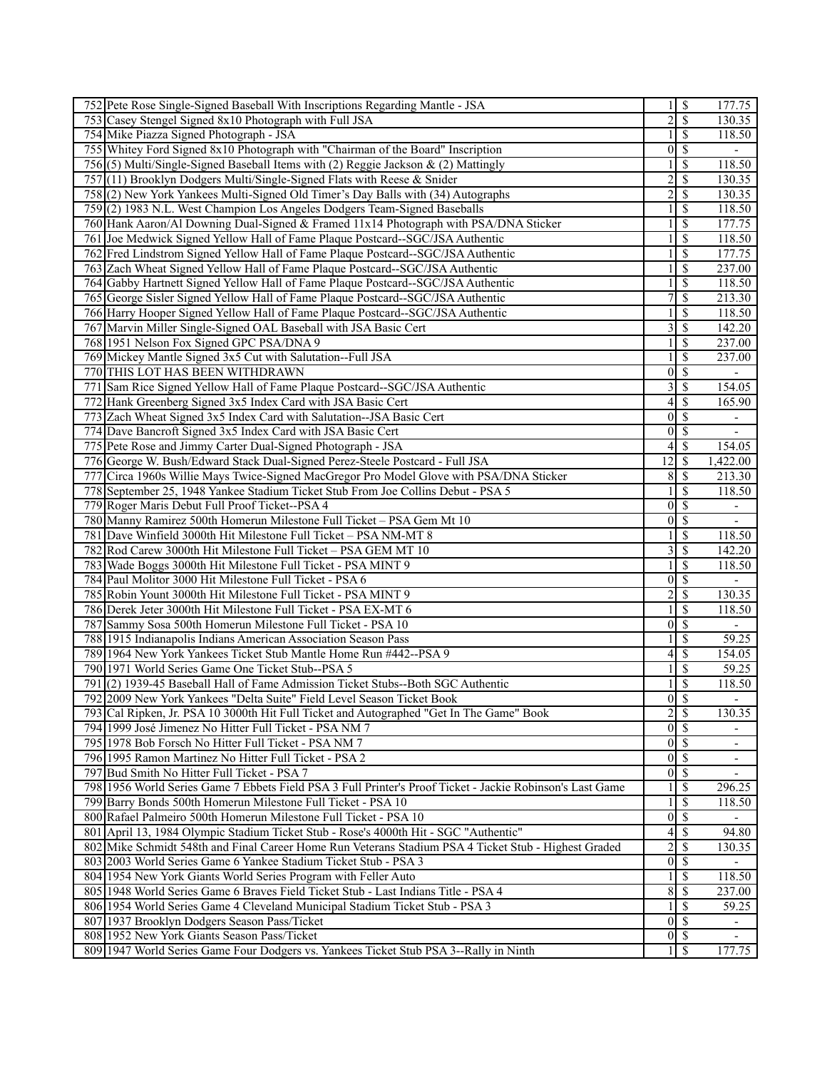| 752 Pete Rose Single-Signed Baseball With Inscriptions Regarding Mantle - JSA                             |                         | $\boldsymbol{\mathsf{S}}$ | 177.75                   |
|-----------------------------------------------------------------------------------------------------------|-------------------------|---------------------------|--------------------------|
| 753 Casey Stengel Signed 8x10 Photograph with Full JSA                                                    |                         | 2s                        | 130.35                   |
| 754 Mike Piazza Signed Photograph - JSA                                                                   |                         | $\overline{\mathcal{S}}$  | 118.50                   |
| 755 Whitey Ford Signed 8x10 Photograph with "Chairman of the Board" Inscription                           | $\overline{0}$          | $\mathcal{S}$             | $\overline{\phantom{a}}$ |
| 756(5) Multi/Single-Signed Baseball Items with (2) Reggie Jackson & (2) Mattingly                         |                         | \$                        | 118.50                   |
| 757 (11) Brooklyn Dodgers Multi/Single-Signed Flats with Reese & Snider                                   | $\overline{c}$          | $\mathcal{S}$             | 130.35                   |
| 758(2) New York Yankees Multi-Signed Old Timer's Day Balls with (34) Autographs                           | $\overline{2}$          | $\overline{\mathcal{S}}$  | 130.35                   |
| 759(2) 1983 N.L. West Champion Los Angeles Dodgers Team-Signed Baseballs                                  |                         | \$                        | 118.50                   |
| 760 Hank Aaron/Al Downing Dual-Signed & Framed 11x14 Photograph with PSA/DNA Sticker                      |                         | $\mathcal{S}$             | 177.75                   |
| 761 Joe Medwick Signed Yellow Hall of Fame Plaque Postcard--SGC/JSA Authentic                             |                         | \$                        | 118.50                   |
| 762 Fred Lindstrom Signed Yellow Hall of Fame Plaque Postcard-SGC/JSA Authentic                           |                         | \$                        | 177.75                   |
| 763 Zach Wheat Signed Yellow Hall of Fame Plaque Postcard-SGC/JSA Authentic                               |                         | $\mathcal{S}$             | 237.00                   |
| 764 Gabby Hartnett Signed Yellow Hall of Fame Plaque Postcard-SGC/JSA Authentic                           |                         | $\mathcal{S}$             | 118.50                   |
| 765 George Sisler Signed Yellow Hall of Fame Plaque Postcard--SGC/JSA Authentic                           |                         | $\overline{\mathcal{S}}$  | 213.30                   |
| 766 Harry Hooper Signed Yellow Hall of Fame Plaque Postcard-SGC/JSA Authentic                             |                         | $\mathcal{S}$             | 118.50                   |
| 767 Marvin Miller Single-Signed OAL Baseball with JSA Basic Cert                                          | 3                       | $\mathcal{S}$             | 142.20                   |
| 768 1951 Nelson Fox Signed GPC PSA/DNA 9                                                                  |                         | \$                        | 237.00                   |
| 769 Mickey Mantle Signed 3x5 Cut with Salutation--Full JSA                                                |                         | <sup>\$</sup>             | 237.00                   |
| 770 THIS LOT HAS BEEN WITHDRAWN                                                                           | $\boldsymbol{0}$        | $\overline{\mathcal{S}}$  | $\overline{\phantom{a}}$ |
| 771 Sam Rice Signed Yellow Hall of Fame Plaque Postcard-SGC/JSA Authentic                                 | 3                       | \$                        | 154.05                   |
| 772 Hank Greenberg Signed 3x5 Index Card with JSA Basic Cert                                              |                         | $4 \overline{\smash{3}}$  | 165.90                   |
| 773 Zach Wheat Signed 3x5 Index Card with Salutation--JSA Basic Cert                                      | $\boldsymbol{0}$        | $\mathcal{S}$             | $\overline{\phantom{a}}$ |
| 774 Dave Bancroft Signed 3x5 Index Card with JSA Basic Cert                                               | $\overline{0}$          | \$                        |                          |
| 775 Pete Rose and Jimmy Carter Dual-Signed Photograph - JSA                                               | $4\vert$                | $\mathcal{S}$             | 154.05                   |
| 776 George W. Bush/Edward Stack Dual-Signed Perez-Steele Postcard - Full JSA                              | 12                      | \$                        | 1,422.00                 |
| 777 Circa 1960s Willie Mays Twice-Signed MacGregor Pro Model Glove with PSA/DNA Sticker                   | 8                       | \$                        | 213.30                   |
| 778 September 25, 1948 Yankee Stadium Ticket Stub From Joe Collins Debut - PSA 5                          |                         | $\mathcal{S}$             | 118.50                   |
| 779 Roger Maris Debut Full Proof Ticket--PSA 4                                                            | $\overline{0}$          | $\overline{\mathcal{S}}$  | $\overline{\phantom{0}}$ |
| 780 Manny Ramirez 500th Homerun Milestone Full Ticket - PSA Gem Mt 10                                     | $\overline{0}$          | <sup>\$</sup>             |                          |
| 781 Dave Winfield 3000th Hit Milestone Full Ticket - PSA NM-MT 8                                          |                         | $\overline{\mathcal{S}}$  | 118.50                   |
| 782 Rod Carew 3000th Hit Milestone Full Ticket - PSA GEM MT 10                                            | 3                       | $\overline{\mathcal{S}}$  | 142.20                   |
| 783 Wade Boggs 3000th Hit Milestone Full Ticket - PSA MINT 9                                              |                         | \$                        | 118.50                   |
| 784 Paul Molitor 3000 Hit Milestone Full Ticket - PSA 6                                                   | $\overline{0}$          | $\sqrt{s}$                |                          |
| 785 Robin Yount 3000th Hit Milestone Full Ticket - PSA MINT 9                                             | $\overline{\mathbf{c}}$ | \$                        | 130.35                   |
| 786 Derek Jeter 3000th Hit Milestone Full Ticket - PSA EX-MT 6                                            |                         | $\mathbf{\$}$             | 118.50                   |
| 787 Sammy Sosa 500th Homerun Milestone Full Ticket - PSA 10                                               |                         | $0\sqrt{3}$               |                          |
| 788 1915 Indianapolis Indians American Association Season Pass                                            |                         | \$                        | 59.25                    |
| 789 1964 New York Yankees Ticket Stub Mantle Home Run #442--PSA 9                                         | 4                       | $\overline{\mathcal{S}}$  | 154.05                   |
| 790 1971 World Series Game One Ticket Stub--PSA 5                                                         |                         | \$                        | 59.25                    |
| 791(2) 1939-45 Baseball Hall of Fame Admission Ticket Stubs--Both SGC Authentic                           |                         | $\overline{\mathcal{S}}$  | 118.50                   |
| 792 2009 New York Yankees "Delta Suite" Field Level Season Ticket Book                                    |                         | $0\sqrt{s}$               | $\overline{\phantom{a}}$ |
| 793 Cal Ripken, Jr. PSA 10 3000th Hit Full Ticket and Autographed "Get In The Game" Book                  |                         | 2s                        | 130.35                   |
| 794 1999 José Jimenez No Hitter Full Ticket - PSA NM 7                                                    |                         | $\overline{0 S}$          |                          |
| 795 1978 Bob Forsch No Hitter Full Ticket - PSA NM 7                                                      |                         | $0\sqrt{s}$               |                          |
| 796 1995 Ramon Martinez No Hitter Full Ticket - PSA 2                                                     |                         | $0 \mid S$                | -                        |
| 797 Bud Smith No Hitter Full Ticket - PSA 7                                                               | 0                       | $\mathcal{S}$             |                          |
| 798 1956 World Series Game 7 Ebbets Field PSA 3 Full Printer's Proof Ticket - Jackie Robinson's Last Game |                         | <sup>\$</sup>             | 296.25                   |
| 799 Barry Bonds 500th Homerun Milestone Full Ticket - PSA 10                                              |                         | \$                        | 118.50                   |
| 800 Rafael Palmeiro 500th Homerun Milestone Full Ticket - PSA 10                                          | $\boldsymbol{0}$        | $\mathcal{S}$             |                          |
| 801 April 13, 1984 Olympic Stadium Ticket Stub - Rose's 4000th Hit - SGC "Authentic"                      | 4 <sup>1</sup>          | $\mathcal{S}$             | 94.80                    |
| 802 Mike Schmidt 548th and Final Career Home Run Veterans Stadium PSA 4 Ticket Stub - Highest Graded      | $\overline{\mathbf{c}}$ | <sup>\$</sup>             | 130.35                   |
| 803 2003 World Series Game 6 Yankee Stadium Ticket Stub - PSA 3                                           | $\boldsymbol{0}$        | -\$                       |                          |
| 804 1954 New York Giants World Series Program with Feller Auto                                            |                         | $\mathbf{\$}$             | 118.50                   |
| 805 1948 World Series Game 6 Braves Field Ticket Stub - Last Indians Title - PSA 4                        | $8\,$                   | $\overline{\mathcal{S}}$  | 237.00                   |
| 806 1954 World Series Game 4 Cleveland Municipal Stadium Ticket Stub - PSA 3                              |                         | $\mathcal{S}$             | 59.25                    |
| 807 1937 Brooklyn Dodgers Season Pass/Ticket                                                              |                         | $0 \mid \mathsf{S}$       | $\overline{\phantom{a}}$ |
| 808 1952 New York Giants Season Pass/Ticket                                                               |                         | $0 \mid \mathsf{S}$       | $\overline{\phantom{a}}$ |
| 809 1947 World Series Game Four Dodgers vs. Yankees Ticket Stub PSA 3--Rally in Ninth                     |                         | $\mathcal{S}$             | 177.75                   |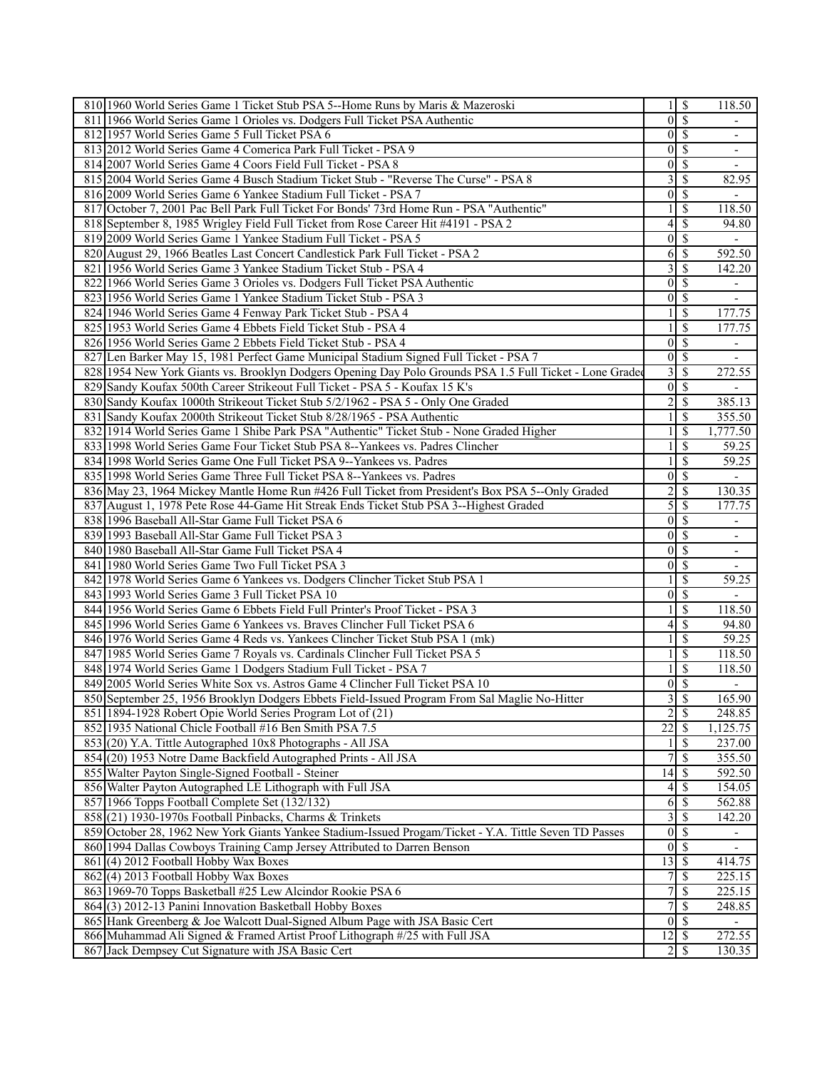| 810 1960 World Series Game 1 Ticket Stub PSA 5--Home Runs by Maris & Mazeroski                           |                         | \$                       | 118.50                   |
|----------------------------------------------------------------------------------------------------------|-------------------------|--------------------------|--------------------------|
| 811 1966 World Series Game 1 Orioles vs. Dodgers Full Ticket PSA Authentic                               | $\overline{0}$          | $\overline{\mathcal{S}}$ |                          |
| 812 1957 World Series Game 5 Full Ticket PSA 6                                                           |                         | $0\vert$ \$              | $\overline{\phantom{a}}$ |
| 813 2012 World Series Game 4 Comerica Park Full Ticket - PSA 9                                           | $\overline{0}$          | <sup>\$</sup>            | $\overline{\phantom{a}}$ |
| 814 2007 World Series Game 4 Coors Field Full Ticket - PSA 8                                             | $\boldsymbol{0}$        | \$                       | $\overline{\phantom{a}}$ |
| 815 2004 World Series Game 4 Busch Stadium Ticket Stub - "Reverse The Curse" - PSA 8                     | $\overline{\mathbf{3}}$ | \$                       | 82.95                    |
| 816 2009 World Series Game 6 Yankee Stadium Full Ticket - PSA 7                                          |                         | $0\sqrt{S}$              |                          |
| 817 October 7, 2001 Pac Bell Park Full Ticket For Bonds' 73rd Home Run - PSA "Authentic"                 |                         | <sup>\$</sup>            | 118.50                   |
| 818 September 8, 1985 Wrigley Field Full Ticket from Rose Career Hit #4191 - PSA 2                       |                         | $4$ \ $\sqrt{3}$         | 94.80                    |
| 819 2009 World Series Game 1 Yankee Stadium Full Ticket - PSA 5                                          | $\overline{0}$          | S                        |                          |
| 820 August 29, 1966 Beatles Last Concert Candlestick Park Full Ticket - PSA 2                            | 6                       | \$                       | 592.50                   |
| 821   1956 World Series Game 3 Yankee Stadium Ticket Stub - PSA 4                                        | $\overline{3}$          | l \$                     | 142.20                   |
| 822 1966 World Series Game 3 Orioles vs. Dodgers Full Ticket PSA Authentic                               |                         | $0\vert$ \$              |                          |
| 823 1956 World Series Game 1 Yankee Stadium Ticket Stub - PSA 3                                          | $\overline{0}$          | \$                       |                          |
| 824 1946 World Series Game 4 Fenway Park Ticket Stub - PSA 4                                             |                         | <sup>\$</sup>            | 177.75                   |
| 825 1953 World Series Game 4 Ebbets Field Ticket Stub - PSA 4                                            |                         | \$                       | 177.75                   |
| 826 1956 World Series Game 2 Ebbets Field Ticket Stub - PSA 4                                            | 0                       | \$                       |                          |
| 827 Len Barker May 15, 1981 Perfect Game Municipal Stadium Signed Full Ticket - PSA 7                    |                         | $0\sqrt{s}$              |                          |
| 828 1954 New York Giants vs. Brooklyn Dodgers Opening Day Polo Grounds PSA 1.5 Full Ticket - Lone Graded | $\overline{\mathbf{3}}$ | <sup>\$</sup>            | 272.55                   |
| 829 Sandy Koufax 500th Career Strikeout Full Ticket - PSA 5 - Koufax 15 K's                              | $\overline{0}$          | <sup>\$</sup>            |                          |
| 830 Sandy Koufax 1000th Strikeout Ticket Stub 5/2/1962 - PSA 5 - Only One Graded                         | 2                       | <sup>\$</sup>            | 385.13                   |
| 831 Sandy Koufax 2000th Strikeout Ticket Stub 8/28/1965 - PSA Authentic                                  |                         | \$                       | 355.50                   |
| 832 1914 World Series Game 1 Shibe Park PSA "Authentic" Ticket Stub - None Graded Higher                 |                         | \$                       | 1,777.50                 |
| 833 1998 World Series Game Four Ticket Stub PSA 8--Yankees vs. Padres Clincher                           |                         | <sup>\$</sup>            | 59.25                    |
| 834 1998 World Series Game One Full Ticket PSA 9--Yankees vs. Padres                                     |                         | <sup>\$</sup>            | 59.25                    |
| 835 1998 World Series Game Three Full Ticket PSA 8--Yankees vs. Padres                                   | $\overline{0}$          | <sup>\$</sup>            |                          |
| 836 May 23, 1964 Mickey Mantle Home Run #426 Full Ticket from President's Box PSA 5--Only Graded         | $\overline{c}$          | <sup>\$</sup>            | 130.35                   |
| 837 August 1, 1978 Pete Rose 44-Game Hit Streak Ends Ticket Stub PSA 3--Highest Graded                   | 5                       | <sup>\$</sup>            | 177.75                   |
| 838 1996 Baseball All-Star Game Full Ticket PSA 6                                                        | $\overline{0}$          | S                        |                          |
| 839 1993 Baseball All-Star Game Full Ticket PSA 3                                                        |                         | $\overline{0}$ s         |                          |
| 840 1980 Baseball All-Star Game Full Ticket PSA 4                                                        |                         | $\overline{0}$ s         | $\overline{\phantom{a}}$ |
| 841 1980 World Series Game Two Full Ticket PSA 3                                                         | $\overline{0}$          | \$                       |                          |
| 842 1978 World Series Game 6 Yankees vs. Dodgers Clincher Ticket Stub PSA 1                              |                         | <sup>\$</sup>            | 59.25                    |
| 843 1993 World Series Game 3 Full Ticket PSA 10                                                          | 0                       | $\mathcal{S}$            |                          |
| 844 1956 World Series Game 6 Ebbets Field Full Printer's Proof Ticket - PSA 3                            |                         | S                        | 118.50                   |
| 845 1996 World Series Game 6 Yankees vs. Braves Clincher Full Ticket PSA 6                               | 4                       | <sup>\$</sup>            | 94.80                    |
| 846 1976 World Series Game 4 Reds vs. Yankees Clincher Ticket Stub PSA 1 (mk)                            |                         | <sup>\$</sup>            | 59.25                    |
| 847 1985 World Series Game 7 Royals vs. Cardinals Clincher Full Ticket PSA 5                             |                         | <sup>\$</sup>            | 118.50                   |
| 848 1974 World Series Game 1 Dodgers Stadium Full Ticket - PSA 7                                         |                         | <sup>\$</sup>            | 118.50                   |
| 849 2005 World Series White Sox vs. Astros Game 4 Clincher Full Ticket PSA 10                            |                         | $\overline{0 S}$         |                          |
| 850 September 25, 1956 Brooklyn Dodgers Ebbets Field-Issued Program From Sal Maglie No-Hitter            |                         | 3S                       | 165.90                   |
| 851 1894-1928 Robert Opie World Series Program Lot of (21)                                               | $\overline{2}$          | $\overline{\mathcal{S}}$ | 248.85                   |
| 852 1935 National Chicle Football #16 Ben Smith PSA 7.5                                                  | $\overline{22}$         | $\mathcal{S}$            | 1,125.75                 |
| 853 (20) Y.A. Tittle Autographed 10x8 Photographs - All JSA                                              |                         | \$                       | 237.00                   |
| 854 (20) 1953 Notre Dame Backfield Autographed Prints - All JSA                                          |                         | \$                       | 355.50                   |
| 855 Walter Payton Single-Signed Football - Steiner                                                       |                         |                          | 592.50                   |
| 856 Walter Payton Autographed LE Lithograph with Full JSA                                                |                         | $4\sqrt{3}$              | 154.05                   |
| 857 1966 Topps Football Complete Set (132/132)                                                           |                         | $6\overline{3}$          | 562.88                   |
| 858 (21) 1930-1970s Football Pinbacks, Charms & Trinkets                                                 |                         | 3S                       | 142.20                   |
|                                                                                                          |                         |                          |                          |
| 859 October 28, 1962 New York Giants Yankee Stadium-Issued Progam/Ticket - Y.A. Tittle Seven TD Passes   |                         | $0\sqrt{S}$              | ÷,                       |
| 860 1994 Dallas Cowboys Training Camp Jersey Attributed to Darren Benson                                 |                         | $0\sqrt{s}$              | $\overline{\phantom{a}}$ |
| 861 (4) 2012 Football Hobby Wax Boxes                                                                    | $13 \mid$ \$            |                          | 414.75                   |
| 862(4) 2013 Football Hobby Wax Boxes                                                                     | $\overline{7}$          | $\sqrt{S}$               | 225.15                   |
| 863 1969-70 Topps Basketball #25 Lew Alcindor Rookie PSA 6                                               | 7                       | $\overline{\mathcal{S}}$ | 225.15                   |
| 864 (3) 2012-13 Panini Innovation Basketball Hobby Boxes                                                 | 7                       | $\overline{\mathcal{S}}$ | 248.85                   |
| 865 Hank Greenberg & Joe Walcott Dual-Signed Album Page with JSA Basic Cert                              |                         | $0\sqrt{S}$              | $\blacksquare$           |
| 866 Muhammad Ali Signed & Framed Artist Proof Lithograph #/25 with Full JSA                              | $12 \mid$ \$            |                          | 272.55                   |
| 867 Jack Dempsey Cut Signature with JSA Basic Cert                                                       |                         |                          | 130.35                   |